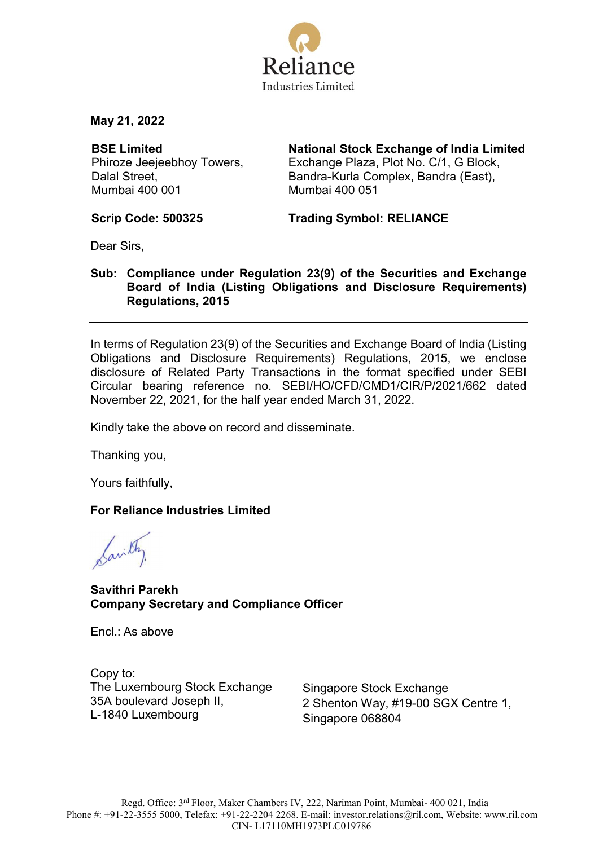

May 21, 2022

BSE Limited Phiroze Jeejeebhoy Towers, Dalal Street, Mumbai 400 001

National Stock Exchange of India Limited Exchange Plaza, Plot No. C/1, G Block, Bandra-Kurla Complex, Bandra (East), Mumbai 400 051

Scrip Code: 500325 Trading Symbol: RELIANCE

Dear Sirs,

## Sub: Compliance under Regulation 23(9) of the Securities and Exchange Board of India (Listing Obligations and Disclosure Requirements) Regulations, 2015

In terms of Regulation 23(9) of the Securities and Exchange Board of India (Listing Obligations and Disclosure Requirements) Regulations, 2015, we enclose disclosure of Related Party Transactions in the format specified under SEBI Circular bearing reference no. SEBI/HO/CFD/CMD1/CIR/P/2021/662 dated November 22, 2021, for the half year ended March 31, 2022.

Kindly take the above on record and disseminate.

Thanking you,

Yours faithfully,

## For Reliance Industries Limited

Savithy.

Savithri Parekh Company Secretary and Compliance Officer

Encl.: As above

Copy to: The Luxembourg Stock Exchange 35A boulevard Joseph II, L-1840 Luxembourg

Singapore Stock Exchange 2 Shenton Way, #19-00 SGX Centre 1, Singapore 068804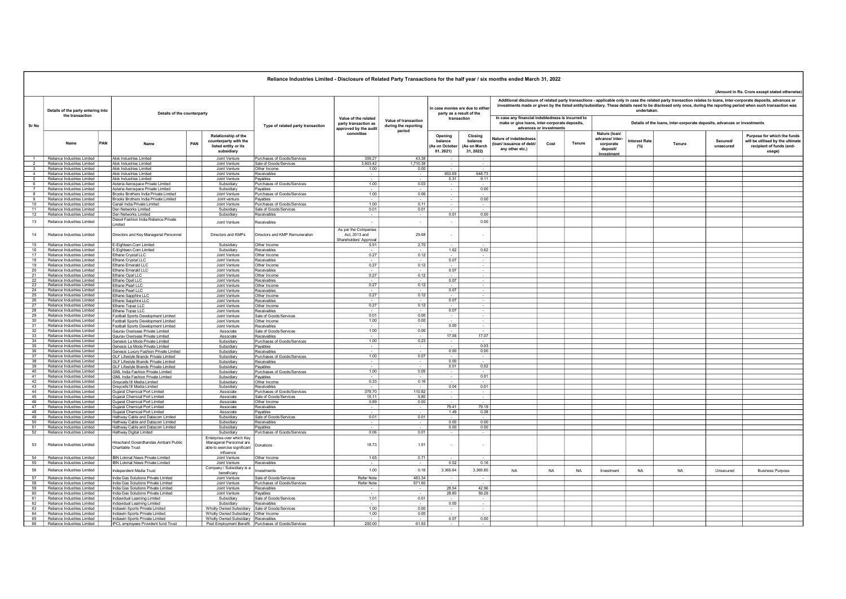| Reliance Industries Limited - Disclosure of Related Party Transactions for the half year / six months ended March 31, 2022 |                                                               |     |                                                                              |     |                                                                                       |                                                       |                                                                       |                                              |                                                              |                                                 |                                                                                                                                                                                                                                                                                                                                                      |           |           |                                                                         |                              |           |                      |                                                                                                       |  |  |  |
|----------------------------------------------------------------------------------------------------------------------------|---------------------------------------------------------------|-----|------------------------------------------------------------------------------|-----|---------------------------------------------------------------------------------------|-------------------------------------------------------|-----------------------------------------------------------------------|----------------------------------------------|--------------------------------------------------------------|-------------------------------------------------|------------------------------------------------------------------------------------------------------------------------------------------------------------------------------------------------------------------------------------------------------------------------------------------------------------------------------------------------------|-----------|-----------|-------------------------------------------------------------------------|------------------------------|-----------|----------------------|-------------------------------------------------------------------------------------------------------|--|--|--|
|                                                                                                                            |                                                               |     |                                                                              |     |                                                                                       |                                                       |                                                                       |                                              |                                                              |                                                 |                                                                                                                                                                                                                                                                                                                                                      |           |           |                                                                         |                              |           |                      | (Amount in Rs. Crore except stated otherwise                                                          |  |  |  |
|                                                                                                                            | Details of the party entering into<br>the transaction         |     | Details of the counterparty                                                  |     |                                                                                       |                                                       |                                                                       |                                              | In case monies are due to either<br>party as a result of the |                                                 | Additional disclosure of related party transactions - applicable only in case the related party transaction relates to loans, inter-corporate deposits, advances or<br>investments made or given by the listed entity/subsidiary. These details need to be disclosed only once, during the reporting period when such transaction was<br>undertaken. |           |           |                                                                         |                              |           |                      |                                                                                                       |  |  |  |
| Sr No                                                                                                                      |                                                               |     |                                                                              |     |                                                                                       | Type of related party transaction                     | Value of the related<br>party transaction as<br>approved by the audit | Value of transaction<br>during the reporting | transaction                                                  |                                                 | In case any financial indebtedness is incurred to<br>make or give loans, inter-corporate deposits,<br>advances or investments                                                                                                                                                                                                                        |           |           | Details of the loans, inter-corporate deposits, advances or investments |                              |           |                      |                                                                                                       |  |  |  |
|                                                                                                                            | Name                                                          | PAN | Name                                                                         | PAN | Relationship of the<br>counterparty with the<br>listed entity or its<br>subsidiary    |                                                       | committee                                                             | period                                       | Opening<br>balance<br>As on Octobe<br>01, 2021)              | Closing<br>balance<br>(As on March<br>31, 2022) | Nature of indebtednes<br>(loan/ issuance of debt/<br>any other etc.)                                                                                                                                                                                                                                                                                 | Cost      | Tenure    | Nature (Ioan/<br>advance/ inter-<br>corporate<br>deposit/               | <b>Interest Rate</b><br>(% ) | Tenure    | Secured<br>unsecured | Purpose for which the funds<br>will be utilised by the ultimate<br>recipient of funds (end-<br>usage) |  |  |  |
| $\overline{1}$                                                                                                             | Reliance Industries Limited                                   |     | Alok Industries Limited                                                      |     | Joint Venture                                                                         | Purchases of Goods/Services                           | 309.27                                                                | 43.38                                        |                                                              |                                                 |                                                                                                                                                                                                                                                                                                                                                      |           |           | investment                                                              |                              |           |                      |                                                                                                       |  |  |  |
| $\overline{2}$                                                                                                             | Reliance Industries Limited                                   |     | Alok Industries Limited                                                      |     | Joint Venture                                                                         | Sale of Goods/Services                                | 3,903.42                                                              | 1.710.38                                     |                                                              |                                                 |                                                                                                                                                                                                                                                                                                                                                      |           |           |                                                                         |                              |           |                      |                                                                                                       |  |  |  |
| $\overline{\mathbf{3}}$                                                                                                    | Reliance Industries Limited                                   |     | Alok Industries Limited                                                      |     | Joint Venture                                                                         | Other Income                                          | 1.00                                                                  | 0.00                                         |                                                              |                                                 |                                                                                                                                                                                                                                                                                                                                                      |           |           |                                                                         |                              |           |                      |                                                                                                       |  |  |  |
| $\overline{4}$<br>5                                                                                                        | Reliance Industries Limited<br>Reliance Industries Limited    |     | Alok Industries Limited<br>Alok Industries Limited                           |     | Joint Venture<br>Joint Venture                                                        | Receivables<br>Payables                               | $\sim$                                                                | $\sim$                                       | 653.69<br>5.31                                               | 64873<br>9.11                                   |                                                                                                                                                                                                                                                                                                                                                      |           |           |                                                                         |                              |           |                      |                                                                                                       |  |  |  |
| 6                                                                                                                          | Reliance Industries Limited                                   |     | Asteria Aerospace Private Limited                                            |     | Subsidiary                                                                            | Purchases of Goods/Services                           | 1.00                                                                  | 0.03                                         | $\sim 10$                                                    |                                                 |                                                                                                                                                                                                                                                                                                                                                      |           |           |                                                                         |                              |           |                      |                                                                                                       |  |  |  |
| $\overline{7}$                                                                                                             | Reliance Industries Limited                                   |     | Asteria Aerospace Private Limited                                            |     | Subsidiary                                                                            | Payables                                              |                                                                       |                                              | $\sim$                                                       | 0.00                                            |                                                                                                                                                                                                                                                                                                                                                      |           |           |                                                                         |                              |           |                      |                                                                                                       |  |  |  |
| 8                                                                                                                          | Reliance Industries Limited                                   |     | Brooks Brothers India Private Limited                                        |     | Joint Venture                                                                         | Purchases of Goods/Services                           | 1.00                                                                  | 0.06                                         |                                                              |                                                 |                                                                                                                                                                                                                                                                                                                                                      |           |           |                                                                         |                              |           |                      |                                                                                                       |  |  |  |
| 9<br>10                                                                                                                    | Reliance Industries Limited<br>Reliance Industries Limited    |     | Brooks Brothers India Private Limited                                        |     | Joint venture                                                                         | Payables                                              | 100                                                                   | $\sim$<br>0.11                               | $\sim$<br>$\sim$                                             | 0.00<br>$\sim$                                  |                                                                                                                                                                                                                                                                                                                                                      |           |           |                                                                         |                              |           |                      |                                                                                                       |  |  |  |
| 11                                                                                                                         | Reliance Industries Limited                                   |     | Canali India Private Limited<br>Den Networks Limited                         |     | Joint Venture<br>Subsidiary                                                           | Purchases of Goods/Services<br>Sale of Goods/Services | 0.01                                                                  | 0.01                                         |                                                              |                                                 |                                                                                                                                                                                                                                                                                                                                                      |           |           |                                                                         |                              |           |                      |                                                                                                       |  |  |  |
| 12                                                                                                                         | Reliance Industries Limited                                   |     | Den Networks Limited                                                         |     | Subsidiary                                                                            | Receivables                                           |                                                                       | $\sim$                                       | 0.01                                                         | 0.00                                            |                                                                                                                                                                                                                                                                                                                                                      |           |           |                                                                         |                              |           |                      |                                                                                                       |  |  |  |
| 13                                                                                                                         | Reliance Industries Limited                                   |     | Diesel Fashion India Reliance Private<br>Limited                             |     | Joint Venture                                                                         | Receivables                                           | $\sim$                                                                | $\sim$                                       | $\sim$                                                       | 0.00                                            |                                                                                                                                                                                                                                                                                                                                                      |           |           |                                                                         |                              |           |                      |                                                                                                       |  |  |  |
| 14                                                                                                                         | Reliance Industries Limited                                   |     | Directors and Key Managerial Personnel                                       |     | Directors and KMPs                                                                    | Directors and KMP Remuneration                        | As per the Companies<br>Act. 2013 and<br>Shareholders' Approva        | 29.68                                        |                                                              |                                                 |                                                                                                                                                                                                                                                                                                                                                      |           |           |                                                                         |                              |           |                      |                                                                                                       |  |  |  |
|                                                                                                                            | 15 Reliance Industries Limited                                |     | E-Eighteen.Com Limited                                                       |     | Subsidiary                                                                            | Other Income                                          | 5.91                                                                  | 2.70                                         |                                                              |                                                 |                                                                                                                                                                                                                                                                                                                                                      |           |           |                                                                         |                              |           |                      |                                                                                                       |  |  |  |
| 16<br>17                                                                                                                   | Reliance Industries Limited<br>Reliance Industries Limited    |     | E-Eighteen.Com Limited                                                       |     | Subsidiary                                                                            | Receivables                                           | 0.27                                                                  | 0.12                                         | 1.62                                                         | 0.62                                            |                                                                                                                                                                                                                                                                                                                                                      |           |           |                                                                         |                              |           |                      |                                                                                                       |  |  |  |
| $\overline{18}$                                                                                                            | Reliance Industries Limited                                   |     | Ethane Crystal LLC<br>Ethane Crystal LLC                                     |     | Joint Venture<br>Joint Venture                                                        | Other Income<br>Receivables                           |                                                                       | $\sim$                                       | 0.07                                                         | $\sim$<br>$\sim$                                |                                                                                                                                                                                                                                                                                                                                                      |           |           |                                                                         |                              |           |                      |                                                                                                       |  |  |  |
| 19                                                                                                                         | Reliance Industries Limited                                   |     | Ethane Emerald LLC                                                           |     | Joint Venture                                                                         | Other Income                                          | 0.27                                                                  | 0.12                                         |                                                              | $\sim$                                          |                                                                                                                                                                                                                                                                                                                                                      |           |           |                                                                         |                              |           |                      |                                                                                                       |  |  |  |
| 20                                                                                                                         | Reliance Industries Limited                                   |     | Ethane Emerald LLC                                                           |     | Joint Venture                                                                         | Receivables                                           |                                                                       | $\sim$                                       | 0.07                                                         | $\sim$                                          |                                                                                                                                                                                                                                                                                                                                                      |           |           |                                                                         |                              |           |                      |                                                                                                       |  |  |  |
| 21                                                                                                                         | Reliance Industries Limited                                   |     | Ethane Opal LLC                                                              |     | Joint Venture                                                                         | Other Income                                          | 0.27                                                                  | 0.12                                         |                                                              |                                                 |                                                                                                                                                                                                                                                                                                                                                      |           |           |                                                                         |                              |           |                      |                                                                                                       |  |  |  |
| 22<br>23                                                                                                                   | Reliance Industries Limited<br>Reliance Industries Limited    |     | Ethane Opal LLC<br>Ethane Pearl LLC                                          |     | Joint Venture<br>Joint Venture                                                        | Receivables<br>Other Income                           | 0.27                                                                  | 0.12                                         | 0.07<br>$\sim 10$                                            | $\sim$<br>$\sim$                                |                                                                                                                                                                                                                                                                                                                                                      |           |           |                                                                         |                              |           |                      |                                                                                                       |  |  |  |
| 24                                                                                                                         | Reliance Industries Limited                                   |     | Ethane Pearl LLC                                                             |     | Joint Venture                                                                         | Receivables                                           |                                                                       |                                              | 0.07                                                         |                                                 |                                                                                                                                                                                                                                                                                                                                                      |           |           |                                                                         |                              |           |                      |                                                                                                       |  |  |  |
|                                                                                                                            | 25 Reliance Industries Limited                                |     | Ethane Sapphire LLC                                                          |     | Joint Venture                                                                         | Other Income                                          | 0.27                                                                  | 0.12                                         | $\sim$                                                       | $\sim$                                          |                                                                                                                                                                                                                                                                                                                                                      |           |           |                                                                         |                              |           |                      |                                                                                                       |  |  |  |
| 26<br>27                                                                                                                   | Reliance Industries Limited                                   |     | Ethane Sapphire LLC                                                          |     | Joint Venture                                                                         | Receivables                                           | 0.27                                                                  | <b>Section</b>                               | 0.07                                                         | $\sim$                                          |                                                                                                                                                                                                                                                                                                                                                      |           |           |                                                                         |                              |           |                      |                                                                                                       |  |  |  |
|                                                                                                                            | Reliance Industries Limited<br>28 Reliance Industries Limited |     | Ethane Topaz LLC<br>Ethane Topaz LLC                                         |     | Joint Venture<br>Joint Venture                                                        | Other Income<br>Receivables                           |                                                                       | 0.12                                         | 0.07                                                         | $\sim$<br>$\sim$                                |                                                                                                                                                                                                                                                                                                                                                      |           |           |                                                                         |                              |           |                      |                                                                                                       |  |  |  |
| 29                                                                                                                         | Reliance Industries Limited                                   |     | Football Sports Development Limited                                          |     | Joint Venture                                                                         | Sale of Goods/Services                                | 0.01                                                                  | 0.00                                         | $\sim$                                                       | $\sim$                                          |                                                                                                                                                                                                                                                                                                                                                      |           |           |                                                                         |                              |           |                      |                                                                                                       |  |  |  |
| 30                                                                                                                         | Reliance Industries Limited                                   |     | Football Sports Development Limited                                          |     | Joint Venture                                                                         | Other Income                                          | 1.00                                                                  | 0.00                                         |                                                              | $\sim$                                          |                                                                                                                                                                                                                                                                                                                                                      |           |           |                                                                         |                              |           |                      |                                                                                                       |  |  |  |
|                                                                                                                            | 31 Reliance Industries Limited                                |     | Football Sports Development Limited                                          |     | Joint Venture                                                                         | Receivables                                           |                                                                       | $\sim$                                       | 0.00                                                         | $\sim$                                          |                                                                                                                                                                                                                                                                                                                                                      |           |           |                                                                         |                              |           |                      |                                                                                                       |  |  |  |
| 33                                                                                                                         | 32 Reliance Industries Limited<br>Reliance Industries Limited |     | Gaurav Overseas Private Limited<br>Gauray Overseas Private Limited           |     | Associate<br>Associate                                                                | Sale of Goods/Services<br>Receivables                 | 1.00                                                                  | 0.00                                         | 17.06                                                        | 17.07                                           |                                                                                                                                                                                                                                                                                                                                                      |           |           |                                                                         |                              |           |                      |                                                                                                       |  |  |  |
|                                                                                                                            | 34 Reliance Industries Limited                                |     | Genesis La Mode Private Limited                                              |     | Subsidiary                                                                            | Purchases of Goods/Services                           | 1.00                                                                  | 0.23                                         | $\sim$                                                       | $\sim$                                          |                                                                                                                                                                                                                                                                                                                                                      |           |           |                                                                         |                              |           |                      |                                                                                                       |  |  |  |
| 35                                                                                                                         | Reliance Industries Limited                                   |     | Genesis La Mode Private Limited                                              |     | Subsidiary                                                                            | Payables                                              | $\sim$                                                                | $\sim$                                       |                                                              | 0.03                                            |                                                                                                                                                                                                                                                                                                                                                      |           |           |                                                                         |                              |           |                      |                                                                                                       |  |  |  |
| 36                                                                                                                         | Reliance Industries Limited<br>37 Reliance Industries Limited |     | Genesis Luxury Fashion Private Limited                                       |     | Subsidiary                                                                            | Receivables<br>Purchases of Goods/Services            | 1.00                                                                  | 0.07                                         | 0.00<br>$\sim$                                               | 0.00                                            |                                                                                                                                                                                                                                                                                                                                                      |           |           |                                                                         |                              |           |                      |                                                                                                       |  |  |  |
| 38                                                                                                                         | Reliance Industries Limited                                   |     | GLE Lifestyle Brands Private Limited<br>GLF Lifestyle Brands Private Limited |     | Subsidiary<br>Subsidiary                                                              | Receivables                                           |                                                                       | $\overline{\phantom{a}}$                     | 0.00                                                         | $\sim$                                          |                                                                                                                                                                                                                                                                                                                                                      |           |           |                                                                         |                              |           |                      |                                                                                                       |  |  |  |
| 39                                                                                                                         | Reliance Industries Limited                                   |     | <b>GLF Lifestvle Brands Private Limited</b>                                  |     | Subsidiary                                                                            | Payables                                              |                                                                       |                                              | 0.01                                                         | 0.02                                            |                                                                                                                                                                                                                                                                                                                                                      |           |           |                                                                         |                              |           |                      |                                                                                                       |  |  |  |
|                                                                                                                            | 40 Reliance Industries Limited                                |     | GML India Fashion Private Limited                                            |     | Subsidiary                                                                            | Purchases of Goods/Services                           | 1.00                                                                  | 0.05                                         | $\sim$                                                       | $\sim$                                          |                                                                                                                                                                                                                                                                                                                                                      |           |           |                                                                         |                              |           |                      |                                                                                                       |  |  |  |
| 41                                                                                                                         | Reliance Industries Limited                                   |     | GML India Fashion Private Limited                                            |     | Subsidiary                                                                            | Payables                                              |                                                                       |                                              | $\sim$                                                       | 0.01                                            |                                                                                                                                                                                                                                                                                                                                                      |           |           |                                                                         |                              |           |                      |                                                                                                       |  |  |  |
| 42<br>43                                                                                                                   | Reliance Industries Limited<br>Reliance Industries Limited    |     | Greycells18 Media Limited<br>Greycells18 Media Limited                       |     | Subsidiary<br>Subsidiary                                                              | Other Income<br>Receivables                           | 0.33                                                                  | 0.16                                         | 0.04                                                         | 0.01                                            |                                                                                                                                                                                                                                                                                                                                                      |           |           |                                                                         |                              |           |                      |                                                                                                       |  |  |  |
|                                                                                                                            | 44 Reliance Industries Limited                                |     | Guiarat Chemical Port Limited                                                |     | Associate                                                                             | Purchases of Goods/Services                           | 378.70                                                                | 110.82                                       | $\sim$                                                       | $\sim$                                          |                                                                                                                                                                                                                                                                                                                                                      |           |           |                                                                         |                              |           |                      |                                                                                                       |  |  |  |
| 45                                                                                                                         | Reliance Industries Limited                                   |     | Guiarat Chemical Port Limited                                                |     | Associate                                                                             | Sale of Goods/Services                                | 15.11                                                                 | 5.80                                         |                                                              | $\sim$                                          |                                                                                                                                                                                                                                                                                                                                                      |           |           |                                                                         |                              |           |                      |                                                                                                       |  |  |  |
| 46<br>47                                                                                                                   | Reliance Industries Limited<br>Reliance Industries Limited    |     | <b>Gujarat Chemical Port Limited</b><br><b>Guiarat Chemical Port Limited</b> |     | Associate<br>Associate                                                                | Other Income<br>Receivables                           | 0.89                                                                  | 0.00<br>$\sim$                               | 79.41                                                        | 79 19                                           |                                                                                                                                                                                                                                                                                                                                                      |           |           |                                                                         |                              |           |                      |                                                                                                       |  |  |  |
| 48                                                                                                                         | Reliance Industries Limited                                   |     | <b>Guiarat Chemical Port Limited</b>                                         |     | Associate                                                                             | Pavables                                              |                                                                       | $\sim$                                       | 149                                                          | 0.38                                            |                                                                                                                                                                                                                                                                                                                                                      |           |           |                                                                         |                              |           |                      |                                                                                                       |  |  |  |
| 49                                                                                                                         | Reliance Industries Limited                                   |     | Hathway Cable and Datacom Limited                                            |     | Subsidiary                                                                            | Sale of Goods/Services                                | 0.01                                                                  | 0.01                                         |                                                              |                                                 |                                                                                                                                                                                                                                                                                                                                                      |           |           |                                                                         |                              |           |                      |                                                                                                       |  |  |  |
| 50                                                                                                                         | Reliance Industries Limited                                   |     | Hathway Cable and Datacom Limited                                            |     | Subsidiary                                                                            | Receivables                                           |                                                                       | $\sim$                                       | 0.00                                                         | 0.00                                            |                                                                                                                                                                                                                                                                                                                                                      |           |           |                                                                         |                              |           |                      |                                                                                                       |  |  |  |
| 51<br>52                                                                                                                   | Reliance Industries Limited<br>Reliance Industries Limited    |     | Hathway Cable and Datacom Limited<br>Hathway Digital Limited                 |     | Subsidiary<br>Subsidiary                                                              | Payables<br>Purchases of Goods/Services               | 0.06                                                                  | <b>Section</b><br>0.01                       | 0.00                                                         | 0.00                                            |                                                                                                                                                                                                                                                                                                                                                      |           |           |                                                                         |                              |           |                      |                                                                                                       |  |  |  |
| 53                                                                                                                         | Reliance Industries Limited                                   |     | Hirachand Govardhandas Ambani Public<br>Charitable Trust                     |     | Enterprise over which Key<br>Managerial Personnel are<br>able to exercise significant | Donations                                             | 18.73                                                                 | 1.51                                         | $\sim$                                                       | $\overline{\phantom{a}}$                        |                                                                                                                                                                                                                                                                                                                                                      |           |           |                                                                         |                              |           |                      |                                                                                                       |  |  |  |
| 54                                                                                                                         | Reliance Industries Limited                                   |     | IBN I okmat News Private Limited                                             |     | influence<br>Joint Venture                                                            | Other Income                                          | 165                                                                   | 0.71                                         |                                                              |                                                 |                                                                                                                                                                                                                                                                                                                                                      |           |           |                                                                         |                              |           |                      |                                                                                                       |  |  |  |
| 55                                                                                                                         | Reliance Industries Limited                                   |     | IBN Lokmat News Private Limited                                              |     | Joint Venture<br>Company / Subsidiary is a                                            | Receivables                                           |                                                                       |                                              | 0.52                                                         | 0.16                                            |                                                                                                                                                                                                                                                                                                                                                      |           |           |                                                                         |                              |           |                      |                                                                                                       |  |  |  |
| 56<br>57                                                                                                                   | Reliance Industries Limited<br>Reliance Industries Limited    |     | Independent Media Trust                                                      |     | beneficiary                                                                           | nyestments                                            | 1.00<br><b>Refer Note</b>                                             | 0.16<br>483.34                               | 3,365.64                                                     | 3,365.80                                        | <b>NA</b>                                                                                                                                                                                                                                                                                                                                            | <b>NA</b> | <b>NA</b> | Investment                                                              | <b>NA</b>                    | <b>NA</b> | Unsecured            | <b>Business Purpose</b>                                                                               |  |  |  |
| 58                                                                                                                         | Reliance Industries Limited                                   |     | India Gas Solutions Private Limited<br>India Gas Solutions Private Limited   |     | Joint Venture<br>Joint Venture                                                        | Sale of Goods/Services<br>Purchases of Goods/Services | Refer Note                                                            | 671.60                                       |                                                              |                                                 |                                                                                                                                                                                                                                                                                                                                                      |           |           |                                                                         |                              |           |                      |                                                                                                       |  |  |  |
| 59                                                                                                                         | Reliance Industries Limited                                   |     | India Gas Solutions Private Limited                                          |     | Joint Venture                                                                         | Receivables                                           |                                                                       |                                              | 28.54                                                        | 42.96                                           |                                                                                                                                                                                                                                                                                                                                                      |           |           |                                                                         |                              |           |                      |                                                                                                       |  |  |  |
| 60                                                                                                                         | Reliance Industries Limited                                   |     | India Gas Solutions Private Limited                                          |     | Joint Venture                                                                         | Payables                                              |                                                                       |                                              | 28.80                                                        | 59.29                                           |                                                                                                                                                                                                                                                                                                                                                      |           |           |                                                                         |                              |           |                      |                                                                                                       |  |  |  |
|                                                                                                                            | 61 Reliance Industries Limited                                |     | Indiavidual Learning Limited                                                 |     | Subsidiary                                                                            | Sale of Goods/Services                                | 1.01                                                                  | 0.01                                         |                                                              | $\sim$                                          |                                                                                                                                                                                                                                                                                                                                                      |           |           |                                                                         |                              |           |                      |                                                                                                       |  |  |  |
| 62<br>63                                                                                                                   | Reliance Industries Limited<br>Reliance Industries Limited    |     | Indiavidual Learning Limited<br>Indiawin Sports Private Limited              |     | Subsidiary<br>Wholly Owned Subsidiary                                                 | Receivables<br>Sale of Goods/Services                 | 1.00                                                                  | 0.00                                         | 0.00<br>$\sim$                                               | $\sim$                                          |                                                                                                                                                                                                                                                                                                                                                      |           |           |                                                                         |                              |           |                      |                                                                                                       |  |  |  |
|                                                                                                                            | 64 Reliance Industries Limited                                |     | Indiawin Sports Private Limited                                              |     | Wholly Owned Subsidiary Other Income                                                  |                                                       | 100                                                                   | 0.00                                         |                                                              |                                                 |                                                                                                                                                                                                                                                                                                                                                      |           |           |                                                                         |                              |           |                      |                                                                                                       |  |  |  |
|                                                                                                                            | 65 Reliance Industries Limited                                |     | Indiawin Sports Private Limited                                              |     | Wholly Owned Subsidiary Receivables                                                   |                                                       |                                                                       |                                              | 0.07                                                         | 0.00                                            |                                                                                                                                                                                                                                                                                                                                                      |           |           |                                                                         |                              |           |                      |                                                                                                       |  |  |  |
|                                                                                                                            | 66 Reliance Industries Limited                                |     | <b>IPCI</b> employees Provident fund Trust                                   |     |                                                                                       | Post Employment Benefit Purchases of Goods/Services   | 200.00                                                                | 61.93                                        |                                                              |                                                 |                                                                                                                                                                                                                                                                                                                                                      |           |           |                                                                         |                              |           |                      |                                                                                                       |  |  |  |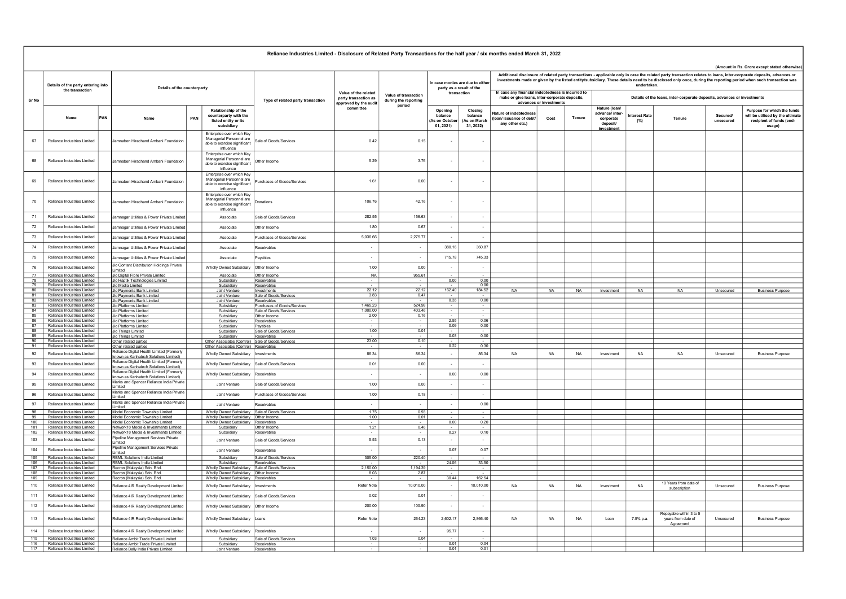|                 | Reliance Industries Limited - Disclosure of Related Party Transactions for the half year / six months ended March 31, 2022 |                                                                                    |     |                                                                                                    |                                                       |                                                                       |                                              |                                                                             |                                                |                                                                                                                                                                                                                                                                                                                                                                                                           |           |           |                                                          |                                                                         |                                                            |                      |                                                                                                       |  |  |  |
|-----------------|----------------------------------------------------------------------------------------------------------------------------|------------------------------------------------------------------------------------|-----|----------------------------------------------------------------------------------------------------|-------------------------------------------------------|-----------------------------------------------------------------------|----------------------------------------------|-----------------------------------------------------------------------------|------------------------------------------------|-----------------------------------------------------------------------------------------------------------------------------------------------------------------------------------------------------------------------------------------------------------------------------------------------------------------------------------------------------------------------------------------------------------|-----------|-----------|----------------------------------------------------------|-------------------------------------------------------------------------|------------------------------------------------------------|----------------------|-------------------------------------------------------------------------------------------------------|--|--|--|
|                 |                                                                                                                            |                                                                                    |     |                                                                                                    |                                                       |                                                                       |                                              |                                                                             |                                                |                                                                                                                                                                                                                                                                                                                                                                                                           |           |           |                                                          |                                                                         |                                                            |                      | (Amount in Rs. Crore except stated otherwise                                                          |  |  |  |
|                 | Details of the party entering into<br>Details of the counterparty<br>the transaction                                       |                                                                                    |     |                                                                                                    |                                                       |                                                                       |                                              | In case monies are due to either<br>party as a result of the<br>transaction |                                                | Additional disclosure of related party transactions - applicable only in case the related party transaction relates to loans, inter-corporate deposits, advances or<br>investments made or given by the listed entity/subsidiary. These details need to be disclosed only once, during the reporting period when such transaction was<br>undertaken.<br>In case any financial indebtedness is incurred to |           |           |                                                          |                                                                         |                                                            |                      |                                                                                                       |  |  |  |
| Sr No           |                                                                                                                            |                                                                                    |     |                                                                                                    | Type of related party transaction                     | Value of the related<br>party transaction as<br>approved by the audit | Value of transaction<br>during the reporting |                                                                             |                                                | make or give loans, inter-corporate deposits,<br>advances or investments                                                                                                                                                                                                                                                                                                                                  |           |           |                                                          | Details of the loans, inter-corporate deposits, advances or investments |                                                            |                      |                                                                                                       |  |  |  |
|                 | Name                                                                                                                       | PAN<br>Name                                                                        | PAN | Relationship of the<br>counterparty with the<br>listed entity or its<br>subsidiary                 |                                                       | committee                                                             | period                                       | Opening<br>balance<br>As on Octobe<br>01.2021                               | Closing<br>balance<br>As on March<br>31, 2022) | Nature of indebtedness<br>(loan/ issuance of debt/<br>any other etc.)                                                                                                                                                                                                                                                                                                                                     | Cost      | Tenure    | Nature (Ioan/<br>advance/ inter<br>corporate<br>deposit/ | terest Rate<br>(%)                                                      | Tenure                                                     | Secured<br>unsecured | Purpose for which the funds<br>will be utilised by the ultimate<br>recipient of funds (end-<br>usage) |  |  |  |
| 67              | Reliance Industries Limited                                                                                                | Jamnaben Hirachand Ambani Foundation                                               |     | Enterprise over which Key<br>Managerial Personnel are<br>able to exercise significant<br>influence | Sale of Goods/Services                                | 0.42                                                                  | 0.15                                         |                                                                             |                                                |                                                                                                                                                                                                                                                                                                                                                                                                           |           |           | investment                                               |                                                                         |                                                            |                      |                                                                                                       |  |  |  |
| 68              | Reliance Industries Limited                                                                                                | Jamnaben Hirachand Ambani Foundation                                               |     | Enterprise over which Key<br>Managerial Personnel are<br>able to exercise significant<br>influence | Other Income                                          | 5.29                                                                  | 3.76                                         |                                                                             |                                                |                                                                                                                                                                                                                                                                                                                                                                                                           |           |           |                                                          |                                                                         |                                                            |                      |                                                                                                       |  |  |  |
| 69              | Reliance Industries Limited                                                                                                | Jamnaben Hirachand Ambani Foundation                                               |     | Enterprise over which Key<br>Managerial Personnel are<br>able to exercise significant<br>influence | Purchases of Goods/Services                           | 1.61                                                                  | 0.00                                         | $\sim$                                                                      |                                                |                                                                                                                                                                                                                                                                                                                                                                                                           |           |           |                                                          |                                                                         |                                                            |                      |                                                                                                       |  |  |  |
| 70              | Reliance Industries Limited                                                                                                | Jamnaben Hirachand Ambani Foundation                                               |     | Enterprise over which Key<br>Managerial Personnel are<br>able to exercise significant<br>influence | Donations                                             | 106.76                                                                | 42.16                                        | $\sim$                                                                      | $\sim$                                         |                                                                                                                                                                                                                                                                                                                                                                                                           |           |           |                                                          |                                                                         |                                                            |                      |                                                                                                       |  |  |  |
| 71              | Reliance Industries Limited                                                                                                | Jamnagar Utilities & Power Private Limited                                         |     | Associate                                                                                          | Sale of Goods/Services                                | 282.55                                                                | 156.63                                       | $\sim$                                                                      | $\sim$                                         |                                                                                                                                                                                                                                                                                                                                                                                                           |           |           |                                                          |                                                                         |                                                            |                      |                                                                                                       |  |  |  |
| 72              | Reliance Industries Limited                                                                                                | Jamnagar Utilities & Power Private Limited                                         |     | Associate                                                                                          | Other Income                                          | 1.80                                                                  | 0.67                                         | $\sim$                                                                      | $\sim$                                         |                                                                                                                                                                                                                                                                                                                                                                                                           |           |           |                                                          |                                                                         |                                                            |                      |                                                                                                       |  |  |  |
| 73              | Reliance Industries Limited                                                                                                | Jamnagar Utilities & Power Private Limited                                         |     | Associate                                                                                          | Purchases of Goods/Services                           | 5,036.66                                                              | 2,275.77                                     | $\sim$                                                                      | $\sim$                                         |                                                                                                                                                                                                                                                                                                                                                                                                           |           |           |                                                          |                                                                         |                                                            |                      |                                                                                                       |  |  |  |
| 74              | Reliance Industries Limited                                                                                                | Jamnagar Utilities & Power Private Limited                                         |     | Associate                                                                                          | Receivables                                           | $\sim$                                                                | $\sim$                                       | 380.16                                                                      | 360.87                                         |                                                                                                                                                                                                                                                                                                                                                                                                           |           |           |                                                          |                                                                         |                                                            |                      |                                                                                                       |  |  |  |
| 75              | Reliance Industries Limited                                                                                                | Jamnagar Utilities & Power Private Limited                                         |     | Associate                                                                                          | Pavables                                              | $\sim$                                                                | $\sim$                                       | 715.78                                                                      | 745.33                                         |                                                                                                                                                                                                                                                                                                                                                                                                           |           |           |                                                          |                                                                         |                                                            |                      |                                                                                                       |  |  |  |
| 76              | Reliance Industries Limited                                                                                                | Jio Content Distribution Holdings Private                                          |     | <b>Wholly Owned Subsidiary</b>                                                                     | Other Income                                          | 1.00                                                                  | 0.00                                         | $\sim$                                                                      | $\sim$                                         |                                                                                                                                                                                                                                                                                                                                                                                                           |           |           |                                                          |                                                                         |                                                            |                      |                                                                                                       |  |  |  |
| 77              | Reliance Industries Limited                                                                                                | Limited<br>Jio Digital Fibre Private Limited                                       |     | Associate                                                                                          | Other Income                                          | <b>NA</b>                                                             | 955.61                                       |                                                                             |                                                |                                                                                                                                                                                                                                                                                                                                                                                                           |           |           |                                                          |                                                                         |                                                            |                      |                                                                                                       |  |  |  |
| 78<br>79        | Reliance Industries Limited<br>Reliance Industries Limited                                                                 | Jio Haptik Technologies Limited<br>Jio Media Limited                               |     | Subsidiary<br>Subsidiary                                                                           | Receivables<br>Receivables                            |                                                                       |                                              | 0.00                                                                        | 0.00<br>0.00                                   |                                                                                                                                                                                                                                                                                                                                                                                                           |           |           |                                                          |                                                                         |                                                            |                      |                                                                                                       |  |  |  |
| 80              | Reliance Industries Limited                                                                                                | Jio Payments Bank Limited                                                          |     | Joint Venture                                                                                      | Investments                                           | 22.12                                                                 | 22.12                                        | 162.40                                                                      | 184.52                                         | NA.                                                                                                                                                                                                                                                                                                                                                                                                       | <b>NA</b> | <b>NA</b> | Investment                                               | <b>NA</b>                                                               | <b>NA</b>                                                  | Unsecured            | <b>Business Purpose</b>                                                                               |  |  |  |
| $\overline{81}$ | Reliance Industries Limited                                                                                                | Jio Payments Bank Limited                                                          |     | Joint Venture                                                                                      | Sale of Goods/Services                                | 3.83                                                                  | 0.47                                         |                                                                             |                                                |                                                                                                                                                                                                                                                                                                                                                                                                           |           |           |                                                          |                                                                         |                                                            |                      |                                                                                                       |  |  |  |
| 82<br>83        | Reliance Industries Limited<br>Reliance Industries Limited                                                                 | Jio Payments Bank Limited                                                          |     | Joint Venture                                                                                      | Receivables                                           | 1.465.23                                                              | 524.98                                       | 0.35                                                                        | 0.00                                           |                                                                                                                                                                                                                                                                                                                                                                                                           |           |           |                                                          |                                                                         |                                                            |                      |                                                                                                       |  |  |  |
| 84              | Reliance Industries Limited                                                                                                | Jio Platforms Limited<br>Jio Platforms Limited                                     |     | Subsidiary<br>Subsidiary                                                                           | Purchases of Goods/Services<br>Sale of Goods/Services | 1,000.00                                                              | 403.46                                       |                                                                             |                                                |                                                                                                                                                                                                                                                                                                                                                                                                           |           |           |                                                          |                                                                         |                                                            |                      |                                                                                                       |  |  |  |
| 85              | Reliance Industries Limited                                                                                                | Jio Platforms Limited                                                              |     | Subsidiary                                                                                         | Other Income                                          | 2.00                                                                  | 0.16                                         |                                                                             |                                                |                                                                                                                                                                                                                                                                                                                                                                                                           |           |           |                                                          |                                                                         |                                                            |                      |                                                                                                       |  |  |  |
| 86              | Reliance Industries Limited                                                                                                | Jio Platforms Limited                                                              |     | Subsidiary                                                                                         | Receivables                                           | $\sim$                                                                | $\sim$                                       | 2.55                                                                        | 0.06                                           |                                                                                                                                                                                                                                                                                                                                                                                                           |           |           |                                                          |                                                                         |                                                            |                      |                                                                                                       |  |  |  |
| 87              | Reliance Industries Limited                                                                                                | Jio Platforms Limited                                                              |     | Subsidiary                                                                                         | Payables                                              |                                                                       |                                              | 0.09                                                                        | 0.00                                           |                                                                                                                                                                                                                                                                                                                                                                                                           |           |           |                                                          |                                                                         |                                                            |                      |                                                                                                       |  |  |  |
| 88<br>89        | Reliance Industries Limited<br>Reliance Industries Limited                                                                 | Jio Things Limited                                                                 |     | Subsidiary<br>Subsidiary                                                                           | Sale of Goods/Services                                | 1.00                                                                  | 0.01                                         | 0.03                                                                        | 0.00                                           |                                                                                                                                                                                                                                                                                                                                                                                                           |           |           |                                                          |                                                                         |                                                            |                      |                                                                                                       |  |  |  |
| 90              | Reliance Industries Limited                                                                                                | Jio Things Limited<br>Other related parties                                        |     | Other Associates (Control)                                                                         | Receivables<br>Sale of Goods/Services                 | 23.00                                                                 | 0.10                                         |                                                                             |                                                |                                                                                                                                                                                                                                                                                                                                                                                                           |           |           |                                                          |                                                                         |                                                            |                      |                                                                                                       |  |  |  |
| 91              | Reliance Industries Limited                                                                                                | Other related parties                                                              |     | Other Associates (Control) Receivables                                                             |                                                       |                                                                       |                                              | 0.22                                                                        | 0.30                                           |                                                                                                                                                                                                                                                                                                                                                                                                           |           |           |                                                          |                                                                         |                                                            |                      |                                                                                                       |  |  |  |
| 92              | Reliance Industries Limited                                                                                                | Reliance Digital Health Limited (Formerly<br>known as Kanhatech Solutions Limited) |     | Wholly Owned Subsidiary Investments                                                                |                                                       | 86.34                                                                 | 86.34                                        | $\sim$                                                                      | 86.34                                          | <b>NA</b>                                                                                                                                                                                                                                                                                                                                                                                                 | <b>NA</b> | <b>NA</b> | Investment                                               | <b>NA</b>                                                               | <b>NA</b>                                                  | Unsecured            | <b>Business Purpose</b>                                                                               |  |  |  |
| 93              | Reliance Industries Limited                                                                                                | Reliance Digital Health Limited (Formerly<br>known as Kanhatech Solutions Limited) |     | Wholly Owned Subsidiary Sale of Goods/Services                                                     |                                                       | 0.01                                                                  | 0.00                                         | $\sim$                                                                      | $\sim$                                         |                                                                                                                                                                                                                                                                                                                                                                                                           |           |           |                                                          |                                                                         |                                                            |                      |                                                                                                       |  |  |  |
| 94              | Reliance Industries Limited                                                                                                | Reliance Digital Health Limited (Formerly<br>known as Kanhatech Solutions Limited) |     | Wholly Owned Subsidiary Receivables                                                                |                                                       | $\sim$                                                                | $\sim$                                       | 0.00                                                                        | 0.00                                           |                                                                                                                                                                                                                                                                                                                                                                                                           |           |           |                                                          |                                                                         |                                                            |                      |                                                                                                       |  |  |  |
| 95              | Reliance Industries Limited                                                                                                | Marks and Spencer Reliance India Private<br>Limited                                |     | Joint Venture                                                                                      | Sale of Goods/Services                                | 1.00                                                                  | 0.00                                         | $\sim$                                                                      | $\sim$                                         |                                                                                                                                                                                                                                                                                                                                                                                                           |           |           |                                                          |                                                                         |                                                            |                      |                                                                                                       |  |  |  |
| 96              | Reliance Industries Limited                                                                                                | Marks and Spencer Reliance India Private<br>Limited                                |     | Joint Venture                                                                                      | Purchases of Goods/Services                           | 1.00                                                                  | 0.18                                         | $\sim$                                                                      | $\sim$                                         |                                                                                                                                                                                                                                                                                                                                                                                                           |           |           |                                                          |                                                                         |                                                            |                      |                                                                                                       |  |  |  |
| 97              | Reliance Industries Limited                                                                                                | Marks and Spencer Reliance India Private<br>Limited                                |     | Joint Venture                                                                                      | Receivables                                           | $\overline{\phantom{a}}$                                              | $\sim$                                       | $\sim$                                                                      | 0.00                                           |                                                                                                                                                                                                                                                                                                                                                                                                           |           |           |                                                          |                                                                         |                                                            |                      |                                                                                                       |  |  |  |
| 98<br>99        | Reliance Industries Limited<br>Reliance Industries Limited                                                                 | Model Economic Township Limited                                                    |     | Wholly Owned Subsidiary Sale of Goods/Services                                                     |                                                       | 1.75<br>1.00                                                          | 0.93<br>0.01                                 | $\sim$                                                                      | $\sim$                                         |                                                                                                                                                                                                                                                                                                                                                                                                           |           |           |                                                          |                                                                         |                                                            |                      |                                                                                                       |  |  |  |
| 100             | Reliance Industries Limited                                                                                                | Model Economic Township Limited<br>Model Economic Township Limited                 |     | Wholly Owned Subsidiary   Other Income<br>Wholly Owned Subsidiary Receivables                      |                                                       |                                                                       | $\sim$                                       | 0.00                                                                        | 0.20                                           |                                                                                                                                                                                                                                                                                                                                                                                                           |           |           |                                                          |                                                                         |                                                            |                      |                                                                                                       |  |  |  |
| 101             | Reliance Industries Limited                                                                                                | Network18 Media & Investments Limited                                              |     | Subsidiary                                                                                         | Other Income                                          | 1.21                                                                  | 0.46                                         |                                                                             |                                                |                                                                                                                                                                                                                                                                                                                                                                                                           |           |           |                                                          |                                                                         |                                                            |                      |                                                                                                       |  |  |  |
| 102<br>103      | Reliance Industries Limited<br>Reliance Industries Limited                                                                 | Network18 Media & Investments Limited<br>Pipeline Management Services Private      |     | Subsidiary<br>Joint Venture                                                                        | Receivables<br>Sale of Goods/Services                 | 5.53                                                                  | $\sim$<br>0.13                               | 0.27<br>$\sim$                                                              | 0.10<br>$\sim$                                 |                                                                                                                                                                                                                                                                                                                                                                                                           |           |           |                                                          |                                                                         |                                                            |                      |                                                                                                       |  |  |  |
| 104             | Reliance Industries Limited                                                                                                | Limited<br>Pipeline Management Services Private                                    |     | Joint Venture                                                                                      | Receivables                                           | $\overline{\phantom{a}}$                                              |                                              | 0.07                                                                        | 0.07                                           |                                                                                                                                                                                                                                                                                                                                                                                                           |           |           |                                                          |                                                                         |                                                            |                      |                                                                                                       |  |  |  |
| 105             | Reliance Industries Limited                                                                                                | imited<br>RBML Solutions India Limited                                             |     | Subsidiary                                                                                         | Sale of Goods/Services                                |                                                                       |                                              |                                                                             |                                                |                                                                                                                                                                                                                                                                                                                                                                                                           |           |           |                                                          |                                                                         |                                                            |                      |                                                                                                       |  |  |  |
| 106             | Reliance Industries Limited                                                                                                | RBML Solutions India Limited                                                       |     | Subsidiary                                                                                         | Receivables                                           | 305.00                                                                | 220.40                                       | 24.06                                                                       | 33.50                                          |                                                                                                                                                                                                                                                                                                                                                                                                           |           |           |                                                          |                                                                         |                                                            |                      |                                                                                                       |  |  |  |
| 107             | Reliance Industries Limited                                                                                                | Recron (Malaysia) Sdn. Bhd.                                                        |     | Wholly Owned Subsidiary Sale of Goods/Services                                                     |                                                       | 2 150 00                                                              | 1 194 39                                     |                                                                             |                                                |                                                                                                                                                                                                                                                                                                                                                                                                           |           |           |                                                          |                                                                         |                                                            |                      |                                                                                                       |  |  |  |
| 108<br>109      | Reliance Industries Limited<br>Reliance Industries Limited                                                                 | Recron (Malaysia) Sdn. Bhd.                                                        |     | Wholly Owned Subsidiary Other Income                                                               |                                                       | 8.03                                                                  | 2.87                                         | 30.44                                                                       | 162.54                                         |                                                                                                                                                                                                                                                                                                                                                                                                           |           |           |                                                          |                                                                         |                                                            |                      |                                                                                                       |  |  |  |
| 110             | Reliance Industries Limited                                                                                                | Recron (Malaysia) Sdn. Bhd.<br>Reliance 4IR Realty Development Limited             |     | Wholly Owned Subsidiary Receivables<br>Wholly Owned Subsidiary   Investments                       |                                                       | Refer Note                                                            | 10,010.00                                    | $\sim$                                                                      | 10,010.00                                      | <b>NA</b>                                                                                                                                                                                                                                                                                                                                                                                                 | <b>NA</b> | <b>NA</b> | Investment                                               | <b>NA</b>                                                               | 10 Years from date of                                      | Unsecured            | <b>Business Purpose</b>                                                                               |  |  |  |
| 111             | Reliance Industries Limited                                                                                                | Reliance 4IR Realty Development Limited                                            |     | Wholly Owned Subsidiary                                                                            | Sale of Goods/Services                                | 0.02                                                                  | 0.01                                         | $\sim$                                                                      |                                                |                                                                                                                                                                                                                                                                                                                                                                                                           |           |           |                                                          |                                                                         | subscription                                               |                      |                                                                                                       |  |  |  |
| 112             | Reliance Industries Limited                                                                                                | Reliance 4IR Realty Development Limited                                            |     | Wholly Owned Subsidiary Other Income                                                               |                                                       | 200.00                                                                | 100.90                                       | $\sim$                                                                      | $\overline{\phantom{a}}$                       |                                                                                                                                                                                                                                                                                                                                                                                                           |           |           |                                                          |                                                                         |                                                            |                      |                                                                                                       |  |  |  |
| 113             | Reliance Industries Limited                                                                                                | Reliance 4IR Realty Development Limited                                            |     | Wholly Owned Subsidiary                                                                            | Loans                                                 | <b>Refer Note</b>                                                     | 264.23                                       | 2.602.17                                                                    | 2.866.40                                       | <b>NA</b>                                                                                                                                                                                                                                                                                                                                                                                                 | <b>NA</b> | <b>NA</b> | Loan                                                     | 7.5% p.a.                                                               | Repayable within 3 to 5<br>years from date of<br>Agreement | Unsecured            | <b>Business Purpose</b>                                                                               |  |  |  |
| 114             | Reliance Industries Limited                                                                                                | Reliance 4IR Realty Development Limited                                            |     | Wholly Owned Subsidiary                                                                            | Receivables                                           | $\overline{\phantom{a}}$                                              | $\sim$                                       | 95.77                                                                       | $\sim$                                         |                                                                                                                                                                                                                                                                                                                                                                                                           |           |           |                                                          |                                                                         |                                                            |                      |                                                                                                       |  |  |  |
| 116             | 115 Reliance Industries Limited<br>Reliance Industries Limited                                                             | Reliance Ambit Trade Private Limited                                               |     | Subsidiary                                                                                         | Sale of Goods/Services                                | 1.03                                                                  | 0.04                                         | 0.01                                                                        | 0.04                                           |                                                                                                                                                                                                                                                                                                                                                                                                           |           |           |                                                          |                                                                         |                                                            |                      |                                                                                                       |  |  |  |
|                 | 117 Reliance Industries Limited                                                                                            | Reliance Ambit Trade Private Limited<br>Reliance Bally India Private Limited       |     | Subsidiary<br>Joint Venture                                                                        | Receivables<br>Receivables                            |                                                                       |                                              | 0.01                                                                        | 0.01                                           |                                                                                                                                                                                                                                                                                                                                                                                                           |           |           |                                                          |                                                                         |                                                            |                      |                                                                                                       |  |  |  |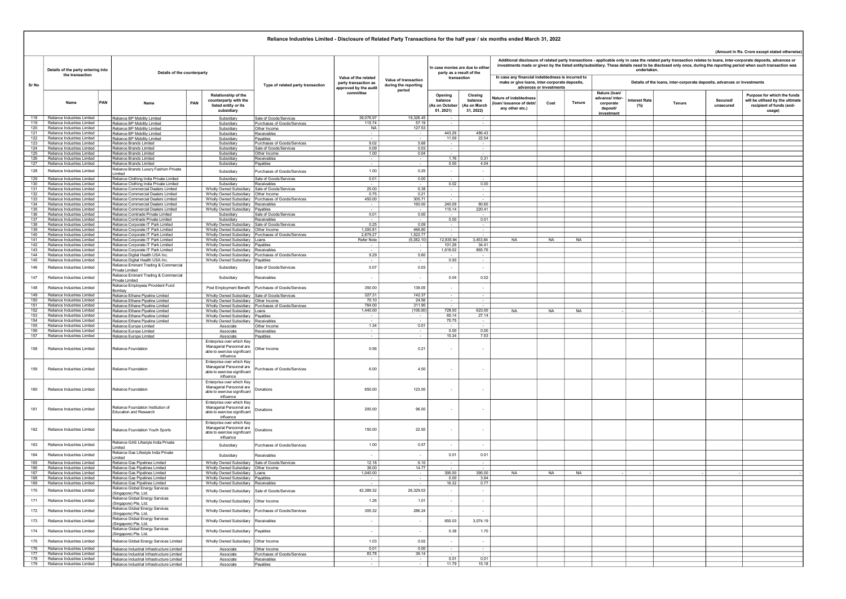## Name PAN Name PAN Relationship of the counterparty with the listed entity or its subsidiary Opening balance ے۔<br>As on Octob 01, 2021) Closing balance (As on March  $31, 2022$ lature of inde (loan/ issuance of debt/ any other etc.) Cost Tenure Nature (loan/ advance/ intercorporate deposit/ investment nterest Rate<br>(%) (%) Tenure Secured/ unsecured Purpose for which the funds will be utilised by the ultimate recipient of funds (endusage) Additional disclosure of related party transactions - applicable only in case the related party transaction relates to loans, inter-corporate deposits, advances or investments made or given by the listed entity/subsidiary. These details need to be disclosed only once, during the reporting period when such transaction was undertaken. In case any financial indebtedness is incurred to make or give loans, inter-corporate deposits, advances or investments Details of the loans, inter-corporate deposits, advances or investments Reliance Industries Limited - Disclosure of Related Party Transactions for the half year / six months ended March 31, 2022 (Amount in Rs. Crore except stated otherwise) Sr No Details of the party entering into of the party entering into<br>
the transaction<br>
the transaction Type of related party transaction Value of the related party transaction as approved by the audit committee Value of transaction during the reporting period n case monies are due to eith party as a result of the transaction 118 Reliance Industries Limited Reliance BP Mobility Limited Subsidiary Sale of Goods/Services 39,076.97 19,326.45 - - 119 Reliance Industries Limited Reliance BP Mobility Limited Nobility Subsidiary Purchases of Goods/Services | 115.74 57.19 - - - - - -120 Reliance Industries Limited Reliance BP Mobility Limited National Subsidiary Other Income NA 127.53 121 Reliance Industries Limited Reliance BP Mobility Limited Subsidiary Receivables - - 443.26 486.43<br>122 Reliance Industries Limited Reliance BP Mobility Limited Subsidiary Payables - - - - - - - - - 443.26 11.09 22.54<br>11 122 Reliance Industries Limited Reliance BP Mobility Limited | | Subsidiary Payables - | - | - 11.09 | 22.54 123 Reliance Industries Limited Reliance Brands Limited Subsidiary Purchases of Goods/Services 9.02 5.68 - - 124 Reliance Industries Limited | Reliance Brands Limited | | Subsidiary | Sale of Goods/Services | 0.09 | 0.03 | - | -125 Reliance Industries Limited Reliance Brands Limited Subsidiary Other Income 1.00 0.04 - - 126 Reliance Industries Limited | Reliance Brands Limited | | Subsidiary Receivables - | - 1.76 | 1.76 0.31 127 Reliance Industries Limited Reliance Brands Limited Subsidiary Subsidiary Reliance Industries Limited Reliance Industries Limited Reliance Brands Limited Subsidiary Payables - - - - 0.00 4.04<br>Reliance Industries Limite 128 Reliance Industries Limited Reliance<br>129 Reliance Industries Limited Reliance المستخدم المستخدم المستخدم المستخدم المستخدم المستخدم المستخدم المستخدم المستخدم المستخدم المستخدم المستخدم ال<br>المستخدم المستخدم المستخدم المستخدم المستخدم المستخدم المستخدم المستخدم المستخدم المستخدم المستخدم المستخدم ال 129 Reliance Industries Limited Reliance Clothing India Private Limited Subsidiary Sale of Goods/Services 0.01 0.00 - - 130 Reliance Industries Limited Reliance Clothing India Private Limited Subsidiary Receivables<br>131 Reliance Industries Limited Reliance Commercial Dealers Limited Wholly Owned Subsidiary Sale of Gods(Services<br>132 Reliance 131 Reliance Industries Limited Reliance Commercial Dealers Limited Wholly Owned Subsidiary Sale of Goods/Services 25.00 6.38 - - 132 Reliance Industries Limited Reliance Commercial Dealers Limited Wholly Owned Subsidiary | Ohmer Incomercial Content<br>133 Reliance Industries Limited Reliance Commercial Dealers Limited Wholly Owned Subsidiary |Purchases 134 Reliance Industries Limited Reliance Commercial Dealers Limited Wholly Owned Subsidiary Receivables - 160.00 2000 80.60<br>135 Reliance Industries Limited Reliance Commercial Dealers Limited - Wholly Owned Subsidiary Reva 135 Reliance Industries Limited [Reliance Commercial Dealers Limited | Wholly Owned Subsidiary Payables | American Dealers | 115.14 220.41<br>136 Reliance Industries Limited Reliance Comtrade Private Limited | Subsidiary | Sa 137 Reliance Industries Limited Reliance Commande Private Limited Subsidiary Relevant Commande Private Limited<br>138 Reliance Industries Limited Reliance Corporate IT Park Limited Wholly Owned Subsidiary Relief Cloods/Servic 138 Reliance Industries Limited Reliance Industries Limited Reliance Corporate Industries Limited Reliance Corporate Industries Limited Wholly Owned Subsidiary Sale of Goods/Services 1.200 - - - - - - - - - - - - - - - - -139 Reliance Industries Limited Reliance Corporate IT Park Limited Wholly Owned Subsidiary Other Income 2012,<br>140 Reliance Industries Limited Reliance Corporate IT Park Limited Wholly Owned Subsidiary Other Income 2,870.9 140 Reliance Industries Limited Reliance Corporate IT Park Limited Wholly Owned Subsidiary Purchases of Goods/Services 2,879.27 1,522.77 - - 141 Reliance Industries Limited Reliance Corporate IT Park Limited Wholly Owned Subsidiary Loans Refer Note (9,382.10) 12,835.94 3,453.84 NA NA NA - - - - - 142 Reliance Industries Limited Reliance Corporate IT Park Limited Wholly Owned Subsidiary Payables - - 101.26 34.41 143 Reliance Industries Limited Reliance Corporate IT Park Limited Wholly Owned Subsidiary Receivables - - - 1,619.<br>144 Reliance Industries Limited Reliance Digital Health USA Inc. - - - - Wholly Owned Subsidiary Purchases 144 Reliance Industries Limited Reliance Digital Health USA Inc. Wholly Owned Subsidiary Purchases of Goods/Services 9.29 5.60 - - 145 Reliance Digital Health USA Inc. Wholly Owned Subsidiary Payables<br>
Reliance Eminent Trading & Commercial 146 Reliance Industries Limited Reliance Emine Private Limited Subsidiary Sale of Goods/Services 0.03 0.07 - - 147 Reliance Industries Limited Reliance Eminent Trading & Commercial<br>Private Limited Reliance Eminent Private Limited Subsidiary Receivables - - 0.04 0.02 148 Reliance Industries Limited Reliance Employees Provident Fund Bombay Post Employment Benefit Purchases of Goods/Services 139.05 350.00 - - 149 Reliance Industries Limited Desiteon Reliance Ethane Pipeline Limited Wholly Owned Subsidiary Sale of Goods/Services 327.31 327.31 142.37 - 142.37<br>150 Reliance Industries Limited Reliance Ethane Pipeline Limited Wholly 150 Reliance Industries Limited (Reliance Ether Plexine March 1999) (Wholly Owned Subsidiary Johnsen Concern 1<br>151 Reliance Industries Limited Reliance Ethane Pueline Limited (Wholly Owned Subsidiary Purchases of Goods/Ser 152 Reliance Industries Limited Reliance Ethane Pipeline Limited Wholly Owned Subsidiary Loans 1,440.00 (105.00) 728.00 623.00 NA NA NA - - - - - 153 Reliance Industries Limited Reliance Ethane Pipeline Limited Wholly Owned Subsidiary Payables - - 65.14 27.14 154 Reliance Industries Limited Reliance Ethane Pipeline Limited Wholly Owned Subsidiary Receivables - - - - - 70.<br>155 Reliance Industries Limited Reliance Europe Limited - - Associate Other Income - - 7.34 - - 7.011 - 7.0 155 Reliance Industries Limited Reliance Europe Limited Associate Other Income<br>156 Reliance Industries Limited Reliance Europe Limited Associate Receivables (Percental Schen and D.01 0.001<br>157 Reliance Industries Limited R 156 Reliance Industries Limited | Reliance Europe Limited | | Associate Receivables - | - - 0.00 | 0.00 0.00 157 Reliance Industries Limited | Reliance Europe Limited | | Associate | Payables - | - 15.34 15.34 7.53 158 Reliance Industries Limited Reliance Foundation Enterprise over which Key Managerial Personnel are able to exercise significant **influence** Other Income 0.21 0.56 - - 159 Reliance Industries Limited Reliance Foundation Enterprise over which Key Managerial Personnel are able to exercise significant influence Purchases of Goods/Services **6.00** 6.00  $\left| \right|$  4.50 160 Reliance Industries Limited Reliance Foundation Enterprise over which Key Managerial Personnel are able to exercise significant influence - المستخدم الكرامي المستخدم المستخدم المستخدم المستخدم المستخدم المستخدم المستخدم المستخدم المستخدم المستخدم ا 161 Reliance Industries Limited Reliance Foundation Institution of Education and Research Enterprise over which Ke Managerial Personnel are able to exercise significant influence Donations 96.00 200.00 - - 162 Reliance Industries Limited Reliance Foundation Youth Sports Enterprise over which Key Managerial Personnel are able to exercise significant influence<br>Subsidiary Donations 22.50 150.00 - - 163 Reliance Industries Limited Reliance GAS Lifestyle India Private المستحدث المستحدث المستحدث المستحدث المستحدث المستحدث المستحدث المستحدث المستحدث المستحدث المستحدث المستحدث ال<br>المستحدث المستحدث المستحدث المستحدث المستحدث المستحدث المستحدث المستحدث المستحدث المستحدث المستحدث المستحدث ال 164 Reliance Industries Limited Reliance Gas Lifestyle India Private Limited Subsidiary Receivables - - 0.01 0.01 165 Reliance Industries Limited Reliance Gas Pipelines Limited Wholly Owned Subsidiary Sale of Goods/Services 12.18 6.10<br>166 Reliance Industries Limited Reliance Gas Pipelines Limited Wholly Owned Subsidiary Dome Income<br>16 166 Reliance Industries Limited Reliance Gas Pipelines Limited | Wholly Owned Subsidiany | Other Income<br>167 Reliance Industries Limited Reliance Gas Pipelines Limited | Wholly Owned Subsidiany | Loans | 1,040.00 | 14.77 | 168 Reliance Industries Limited Reliance Gas Pipelines Limited Wholly Owned Subsidiary Payables - - - - - - 0.000 3.94<br>169 Reliance Industries Limited Reliance Gas Pipelines Limited Wholly Owned Subsidiary Revealvables - -**Reliance Gas Pipelines Limited Communication Receivables - Necessary Receivables** 170 Reliance Industries Limited Reliance Global Energy Services ance Global Energy Services (State of Mindly Owned Subsidiary Sale of Goods/Services 26,329.03 42,389.32 42,389.32 42,389.32 42,389.32 42,389.32 42,389.32 42,389.32 42,389.32 42,389.32 43,329.03 42,389.32 42,389.32 42,389. 171 Reliance Industries Limited Reliance Global Energy<br>
Singapore) Pte. Ltd. (Singapore) Pte. Ltd. Wholly Owned Subsidiary Other Income 1.01 1.26 - - 172 Reliance Industries Limited Reliance Global Energy Services ance Global Energy Services (Wholly Owned Subsidiary Purchases of Goods/Services 205.32 286.24 286.24 286.24 305.32 286.24 286.24 286.24 286.24 286.24 286.24 286.24 286.24 286.24 286.24 286.24 286.24 286.24 286.24 286.24 2 173 Reliance Industries Limited Reliance Global Energy Reliance Industries Limited (Singapore) Pte. Ltd. Wholly Owned Subsidiary Receivables - - 650.03 3,074.19 174 Reliance Industries Limited Reliance Global Energy<br>
(Singapore) Pte. Ltd. (Singapore) Payables - - - 0.38 1.70 Molly Owned Subsidiary Payables - - 0.38 1.70 175 Reliance Industries Limited Reliance Global Energy Services Limited Wholly Owned Subsidiary Other Income 0.02 1.03 1.03 0.02 - -176 Reliance Industries Limited Reliance Industrial Infrastructure Limited Associate Other Income 0.01 0.00<br>1777 Reliance Industries Limited Reliance Industrial Infrastructure Limited Associate Purchases of Goods/Services 177 Reliance Industries Limited Reliance Industrial Infrastructure Limited Associate Purchases of Goods/Services 83.78 36.14 - - 178 Reliance Industries Limited Reliance Industrial Infrastructure Limited Associate Receivables - - 0.01 0.01 179 Reliance Industries Limited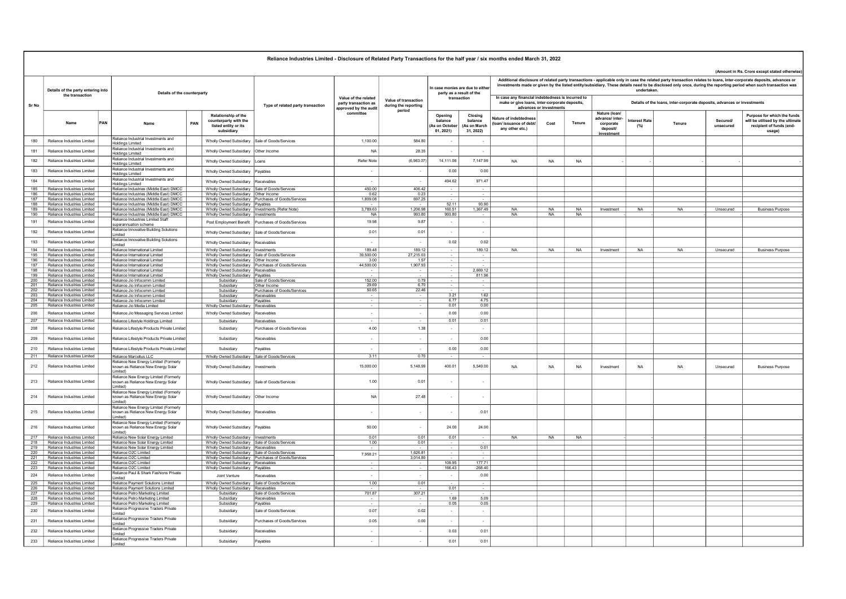|               |                                                            |     |                                                                                                     |     |                                                                                          | Reliance Industries Limited - Disclosure of Related Party Transactions for the half year / six months ended March 31, 2022 |                                                                       |                                              |                                                              |                                                 |                                                                                                                                                                                                                                                                                                                                                                                                           |           |           |                                                                         |                            |           |                      | (Amount in Rs. Crore except stated otherwise)                                                         |  |  |  |
|---------------|------------------------------------------------------------|-----|-----------------------------------------------------------------------------------------------------|-----|------------------------------------------------------------------------------------------|----------------------------------------------------------------------------------------------------------------------------|-----------------------------------------------------------------------|----------------------------------------------|--------------------------------------------------------------|-------------------------------------------------|-----------------------------------------------------------------------------------------------------------------------------------------------------------------------------------------------------------------------------------------------------------------------------------------------------------------------------------------------------------------------------------------------------------|-----------|-----------|-------------------------------------------------------------------------|----------------------------|-----------|----------------------|-------------------------------------------------------------------------------------------------------|--|--|--|
|               | Details of the party entering into<br>the transaction      |     | Details of the counterparty                                                                         |     |                                                                                          |                                                                                                                            |                                                                       |                                              | In case monies are due to either<br>party as a result of the |                                                 | Additional disclosure of related party transactions - applicable only in case the related party transaction relates to loans, inter-corporate deposits, advances or<br>investments made or given by the listed entity/subsidiary. These details need to be disclosed only once, during the reporting period when such transaction was<br>undertaken.<br>In case any financial indebtedness is incurred to |           |           |                                                                         |                            |           |                      |                                                                                                       |  |  |  |
| Sr No         |                                                            |     |                                                                                                     |     |                                                                                          | Type of related party transaction                                                                                          | Value of the related<br>party transaction as<br>approved by the audit | Value of transaction<br>during the reporting | transaction                                                  |                                                 | make or give loans, inter-corporate deposits.<br>advances or investments                                                                                                                                                                                                                                                                                                                                  |           |           | Details of the loans, inter-corporate deposits, advances or investments |                            |           |                      |                                                                                                       |  |  |  |
|               | Name                                                       | PAN |                                                                                                     | PAN | Relationship of the<br>counterparty with the<br>listed entity or its<br>subsidiary       |                                                                                                                            | committee                                                             | period                                       | Opening<br>balance<br>As on Octobe<br>01.2021                | Closing<br>balance<br>(As on March<br>31, 2022) | <b>lature of indebtednes</b><br>pan/ issuance of debt<br>any other etc.)                                                                                                                                                                                                                                                                                                                                  | Cost      | Tenure    | Nature (loan/<br>advance/ inter<br>corporate<br>deposit<br>investmen    | <b>tterest Rate</b><br>(%) | Tenure    | Secured<br>unsecured | Purpose for which the funds<br>will be utilised by the ultimate<br>recipient of funds (end-<br>usage) |  |  |  |
| 180           | Reliance Industries Limited                                |     | Reliance Industrial Investments and<br><b>Holdings Limited</b>                                      |     | Wholly Owned Subsidiary                                                                  | Sale of Goods/Services                                                                                                     | 1 100 00                                                              | 584 80                                       |                                                              | $\sim$                                          |                                                                                                                                                                                                                                                                                                                                                                                                           |           |           |                                                                         |                            |           |                      |                                                                                                       |  |  |  |
| 181           | Reliance Industries Limited                                |     | Reliance Industrial Investments and<br><b>Holdings Limited</b>                                      |     | Wholly Owned Subsidiary                                                                  | Other Income                                                                                                               | N/                                                                    | 28.35                                        | $\sim$                                                       | - 1                                             |                                                                                                                                                                                                                                                                                                                                                                                                           |           |           |                                                                         |                            |           |                      |                                                                                                       |  |  |  |
| 182           | Reliance Industries Limited                                |     | Reliance Industrial Investments and<br><b>Holdings Limited</b>                                      |     | Wholly Owned Subsidiary                                                                  | Loans                                                                                                                      | Refer Note                                                            | (6,963.07)                                   | 14,111.06                                                    | 7,147.99                                        | <b>NA</b>                                                                                                                                                                                                                                                                                                                                                                                                 | <b>NA</b> | <b>NA</b> |                                                                         |                            |           |                      |                                                                                                       |  |  |  |
| 183           | Reliance Industries Limited                                |     | Reliance Industrial Investments and<br><b>Holdings Limited</b>                                      |     | Wholly Owned Subsidiary                                                                  | Pavables                                                                                                                   | $\sim$                                                                | $\sim$                                       | 0.00                                                         | 0.00                                            |                                                                                                                                                                                                                                                                                                                                                                                                           |           |           |                                                                         |                            |           |                      |                                                                                                       |  |  |  |
| 184           | Reliance Industries Limited                                |     | Reliance Industrial Investments and<br><b>Holdings Limited</b>                                      |     | Wholly Owned Subsidiary                                                                  | Receivables                                                                                                                | $\sim$                                                                | $\sim$                                       | 494.62                                                       | 971.47                                          |                                                                                                                                                                                                                                                                                                                                                                                                           |           |           |                                                                         |                            |           |                      |                                                                                                       |  |  |  |
| 185           | Reliance Industries Limited                                |     | Reliance Industries (Middle East) DMCC                                                              |     | Wholly Owned Subsidiary Sale of Goods/Services                                           |                                                                                                                            | 450.00                                                                | 406.42                                       |                                                              |                                                 |                                                                                                                                                                                                                                                                                                                                                                                                           |           |           |                                                                         |                            |           |                      |                                                                                                       |  |  |  |
| 186           | Reliance Industries Limited                                |     | Reliance Industries (Middle East) DMCC                                                              |     | Wholly Owned Subsidiary Other Income                                                     |                                                                                                                            | 0.62                                                                  | 0.23                                         |                                                              | $\sim$                                          |                                                                                                                                                                                                                                                                                                                                                                                                           |           |           |                                                                         |                            |           |                      |                                                                                                       |  |  |  |
| 187<br>188    | Reliance Industries Limited<br>Reliance Industries Limited |     | Reliance Industries (Middle East) DMCC<br>Reliance Industries (Middle East) DMCC                    |     | Wholly Owned Subsidiary   Payables                                                       | Wholly Owned Subsidiary Purchases of Goods/Services                                                                        | 1,809.08                                                              | 697.25                                       | 52.11                                                        | 93.90                                           |                                                                                                                                                                                                                                                                                                                                                                                                           |           |           |                                                                         |                            |           |                      |                                                                                                       |  |  |  |
| 189           | Reliance Industries Limited                                |     | Reliance Industries (Middle East) DMCC                                                              |     | Wholly Owned Subsidiary   Investments (Refer Note)                                       |                                                                                                                            | 3,789.63                                                              | 1,206.98                                     | 160.51                                                       | 1.367.49                                        | <b>NA</b>                                                                                                                                                                                                                                                                                                                                                                                                 | NA        | <b>NA</b> | Investment                                                              | <b>NA</b>                  | <b>NA</b> | Unsecured            | <b>Business Purpose</b>                                                                               |  |  |  |
| 190<br>191    | Reliance Industries Limited<br>Reliance Industries Limited |     | Reliance Industries (Middle East) DMCC<br>Reliance Industries Limited Staff                         |     | Wholly Owned Subsidiary   Investments                                                    |                                                                                                                            | N <sub>A</sub><br>19.98                                               | 993.80<br>9.87                               | 993.80<br>$\sim$                                             | $\sim$<br>$\sim$                                | <b>NA</b>                                                                                                                                                                                                                                                                                                                                                                                                 | <b>NA</b> | NA        |                                                                         |                            |           |                      |                                                                                                       |  |  |  |
|               |                                                            |     | superannuation scheme<br>Reliance Innovative Building Solutions                                     |     |                                                                                          | Post Employment Benefit   Purchases of Goods/Services                                                                      |                                                                       |                                              |                                                              |                                                 |                                                                                                                                                                                                                                                                                                                                                                                                           |           |           |                                                                         |                            |           |                      |                                                                                                       |  |  |  |
| 192           | Reliance Industries Limited                                |     | Limited<br>Reliance Innovative Building Solutions                                                   |     | Wholly Owned Subsidiary Sale of Goods/Services                                           |                                                                                                                            | 0.01                                                                  | 0.01                                         |                                                              | $\sim$                                          |                                                                                                                                                                                                                                                                                                                                                                                                           |           |           |                                                                         |                            |           |                      |                                                                                                       |  |  |  |
| 193           | Reliance Industries Limited                                |     | Limited                                                                                             |     | Wholly Owned Subsidiary Receivables                                                      |                                                                                                                            | $\overline{\phantom{a}}$                                              | $\sim$                                       | 0.02                                                         | 0.02                                            |                                                                                                                                                                                                                                                                                                                                                                                                           |           |           |                                                                         |                            |           |                      |                                                                                                       |  |  |  |
| 194           | Reliance Industries Limited                                |     | Reliance International Limited                                                                      |     | Wholly Owned Subsidiary   Investments                                                    |                                                                                                                            | 189.48                                                                | 189 12                                       |                                                              | 189.12                                          | <b>NA</b>                                                                                                                                                                                                                                                                                                                                                                                                 | <b>NA</b> | <b>NA</b> | Investment                                                              | <b>NA</b>                  | <b>NA</b> | Unsecured            | <b>Business Purpose</b>                                                                               |  |  |  |
| 195<br>196    | Reliance Industries Limited<br>Reliance Industries Limited |     | Reliance International Limited<br>Reliance International Limited                                    |     | Wholly Owned Subsidiary Sale of Goods/Services<br>Wholly Owned Subsidiary   Other Income |                                                                                                                            | 39,500.00<br>3.00                                                     | 27,215.03<br>1.57                            |                                                              | $\sim$                                          |                                                                                                                                                                                                                                                                                                                                                                                                           |           |           |                                                                         |                            |           |                      |                                                                                                       |  |  |  |
| 197           | Reliance Industries Limited                                |     | Reliance International Limited                                                                      |     | Wholly Owned Subsidiary                                                                  | Purchases of Goods/Services                                                                                                | 44,500.00                                                             | 1,907.93                                     |                                                              |                                                 |                                                                                                                                                                                                                                                                                                                                                                                                           |           |           |                                                                         |                            |           |                      |                                                                                                       |  |  |  |
| 198           | Reliance Industries Limited                                |     | Reliance International Limited                                                                      |     | Wholly Owned Subsidiary Receivables                                                      |                                                                                                                            |                                                                       | $\sim$                                       |                                                              | 2,669.12                                        |                                                                                                                                                                                                                                                                                                                                                                                                           |           |           |                                                                         |                            |           |                      |                                                                                                       |  |  |  |
| 199<br>200    | Reliance Industries Limited<br>Reliance Industries Limited |     | Reliance International Limited<br>Reliance Jio Infocomm Limited                                     |     | Wholly Owned Subsidiary   Payables<br>Subsidiary                                         | Sale of Goods/Services                                                                                                     | 152.00                                                                | 0.79                                         |                                                              | 811.96                                          |                                                                                                                                                                                                                                                                                                                                                                                                           |           |           |                                                                         |                            |           |                      |                                                                                                       |  |  |  |
| 201           | Reliance Industries Limited                                |     | Reliance Jio Infocomm Limited                                                                       |     | Subsidiary                                                                               | Other Income                                                                                                               | 29.69                                                                 | 6.70                                         |                                                              | $\sim$                                          |                                                                                                                                                                                                                                                                                                                                                                                                           |           |           |                                                                         |                            |           |                      |                                                                                                       |  |  |  |
| 202           | Reliance Industries Limited                                |     | Reliance Jio Infocomm Limited                                                                       |     | Subsidiary                                                                               | Purchases of Goods/Services                                                                                                | 50.65                                                                 | 22.46                                        |                                                              |                                                 |                                                                                                                                                                                                                                                                                                                                                                                                           |           |           |                                                                         |                            |           |                      |                                                                                                       |  |  |  |
| $-203$<br>204 | Reliance Industries Limited<br>Reliance Industries Limited |     | Reliance Jio Infocomm Limited                                                                       |     | Subsidiary                                                                               | Receivables                                                                                                                | $\overline{\phantom{a}}$                                              |                                              | 3.21<br>6.77                                                 | 1.62<br>4.75                                    |                                                                                                                                                                                                                                                                                                                                                                                                           |           |           |                                                                         |                            |           |                      |                                                                                                       |  |  |  |
| 205           | Reliance Industries Limited                                |     | Reliance Jio Infocomm Limited<br>Reliance Jio Media Limited                                         |     | Subsidiary<br>Wholly Owned Subsidiary                                                    | Payables<br>Receivables                                                                                                    |                                                                       |                                              | 0.01                                                         | 0.00                                            |                                                                                                                                                                                                                                                                                                                                                                                                           |           |           |                                                                         |                            |           |                      |                                                                                                       |  |  |  |
| 206           | Reliance Industries Limited                                |     | Reliance Jio Messaging Services Limited                                                             |     | Wholly Owned Subsidiary                                                                  | Receivables                                                                                                                | $\sim$                                                                | $\sim$                                       | 0.00                                                         | 0.00                                            |                                                                                                                                                                                                                                                                                                                                                                                                           |           |           |                                                                         |                            |           |                      |                                                                                                       |  |  |  |
| 207           | Reliance Industries Limited                                |     | Reliance Lifestyle Holdings Limited                                                                 |     | Subsidiary                                                                               | Receivables                                                                                                                | $\overline{\phantom{a}}$                                              | $\sim$                                       | 0.01                                                         | 0.01                                            |                                                                                                                                                                                                                                                                                                                                                                                                           |           |           |                                                                         |                            |           |                      |                                                                                                       |  |  |  |
| 208           | Reliance Industries Limited                                |     | Reliance Lifestyle Products Private Limited                                                         |     | Subsidian                                                                                | Purchases of Goods/Services                                                                                                | 4.00                                                                  | 1.38                                         | $\sim$                                                       | $\sim$                                          |                                                                                                                                                                                                                                                                                                                                                                                                           |           |           |                                                                         |                            |           |                      |                                                                                                       |  |  |  |
| 209           | Reliance Industries Limited                                |     | Reliance Lifestyle Products Private Limited                                                         |     | Subsidiary                                                                               | Receivables                                                                                                                | $\overline{\phantom{a}}$                                              | $\sim$                                       | $\sim$                                                       | 0.00                                            |                                                                                                                                                                                                                                                                                                                                                                                                           |           |           |                                                                         |                            |           |                      |                                                                                                       |  |  |  |
| 210           | Reliance Industries Limited                                |     | Reliance Lifestyle Products Private Limited                                                         |     | Subsidiary                                                                               | Payables                                                                                                                   | ×,                                                                    | $\overline{\phantom{a}}$                     | 0.00                                                         | 0.00                                            |                                                                                                                                                                                                                                                                                                                                                                                                           |           |           |                                                                         |                            |           |                      |                                                                                                       |  |  |  |
| 211           | Reliance Industries Limited                                |     | Reliance Marcellus LLC                                                                              |     | Wholly Owned Subsidiary Sale of Goods/Services                                           |                                                                                                                            | 3.11                                                                  | 0.70                                         |                                                              |                                                 |                                                                                                                                                                                                                                                                                                                                                                                                           |           |           |                                                                         |                            |           |                      |                                                                                                       |  |  |  |
| 212           | Reliance Industries Limited                                |     | Reliance New Energy Limited (Formerly<br>known as Reliance New Energy Solar                         |     | <b>Wholly Owned Subsidiary</b>                                                           | Investments                                                                                                                | 15,000.00                                                             | 5,148.99                                     | 400.01                                                       | 5,549.00                                        | <b>NA</b>                                                                                                                                                                                                                                                                                                                                                                                                 | <b>NA</b> | <b>NA</b> | Investment                                                              | <b>NA</b>                  | <b>NA</b> | Unsecured            | <b>Business Purpose</b>                                                                               |  |  |  |
| 213           | Reliance Industries Limited                                |     | Limited)<br>Reliance New Energy Limited (Formerly<br>known as Reliance New Energy Solar<br>Limited) |     | <b>Wholly Owned Subsidiary</b>                                                           | Sale of Goods/Services                                                                                                     | 1.00                                                                  | 0.01                                         |                                                              |                                                 |                                                                                                                                                                                                                                                                                                                                                                                                           |           |           |                                                                         |                            |           |                      |                                                                                                       |  |  |  |
| 214           | Reliance Industries Limited                                |     | Reliance New Energy Limited (Formerly<br>known as Reliance New Energy Solar<br>Limited)             |     | Wholly Owned Subsidiary Other Income                                                     |                                                                                                                            | N                                                                     | 27.48                                        |                                                              |                                                 |                                                                                                                                                                                                                                                                                                                                                                                                           |           |           |                                                                         |                            |           |                      |                                                                                                       |  |  |  |
| 215           | Reliance Industries Limited                                |     | Reliance New Energy Limited (Formerly<br>known as Reliance New Energy Solar<br>I imited)            |     | Wholly Owned Subsidiary                                                                  | Receivables                                                                                                                | $\sim$                                                                | $\overline{a}$                               |                                                              | 0.01                                            |                                                                                                                                                                                                                                                                                                                                                                                                           |           |           |                                                                         |                            |           |                      |                                                                                                       |  |  |  |
| 216           | Reliance Industries Limited                                |     | Reliance New Energy Limited (Formerly<br>known as Reliance New Energy Solar<br>Limited)             |     | Wholly Owned Subsidiary                                                                  | Payables                                                                                                                   | 50.00                                                                 | $\overline{a}$                               | 24.00                                                        | 24.00                                           |                                                                                                                                                                                                                                                                                                                                                                                                           |           |           |                                                                         |                            |           |                      |                                                                                                       |  |  |  |
| 217<br>218    | Reliance Industries Limited<br>Reliance Industries Limited |     | Reliance New Solar Energy Limited<br>Reliance New Solar Energy Limited                              |     | Wholly Owned Subsidiary   Investments<br>Wholly Owned Subsidiary Sale of Goods/Services  |                                                                                                                            | 0.01<br>1.00                                                          | 0.01<br>0.01                                 | 0.01                                                         |                                                 | <b>NA</b>                                                                                                                                                                                                                                                                                                                                                                                                 | <b>NA</b> | <b>NA</b> |                                                                         |                            |           |                      |                                                                                                       |  |  |  |
| 219           | Reliance Industries Limited                                |     | Reliance New Solar Energy Limited                                                                   |     | Wholly Owned Subsidiary Receivables                                                      |                                                                                                                            |                                                                       |                                              |                                                              | 0.01                                            |                                                                                                                                                                                                                                                                                                                                                                                                           |           |           |                                                                         |                            |           |                      |                                                                                                       |  |  |  |
| 220           | Reliance Industries Limited                                |     | Reliance O2C Limited                                                                                |     | Wholly Owned Subsidiary Sale of Goods/Services                                           |                                                                                                                            | 7,958.21                                                              | 1,626.81<br>3,014.80                         |                                                              | $\sim$                                          |                                                                                                                                                                                                                                                                                                                                                                                                           |           |           |                                                                         |                            |           |                      |                                                                                                       |  |  |  |
| 221<br>- 222  | Reliance Industries Limited<br>Reliance Industries Limited |     | l Reliance O2C Limited<br>Reliance O2C Limited                                                      |     | Wholly Owned Subsidiary Receivables                                                      | Wholly Owned Subsidiary Purchases of Goods/Services                                                                        | $\sim$                                                                | $\sim$                                       | 109.95                                                       | 177 71                                          |                                                                                                                                                                                                                                                                                                                                                                                                           |           |           |                                                                         |                            |           |                      |                                                                                                       |  |  |  |
| 223           | Reliance Industries Limited                                |     | Reliance O2C Limited                                                                                |     | Wholly Owned Subsidiary Payables                                                         |                                                                                                                            | $\sim$                                                                | $\sim$                                       | 166.43                                                       | 268.40                                          |                                                                                                                                                                                                                                                                                                                                                                                                           |           |           |                                                                         |                            |           |                      |                                                                                                       |  |  |  |
| 224           | Reliance Industries Limited                                |     | Reliance Paul & Shark Fashions Private<br>imited                                                    |     | Joint Venture                                                                            | Receivables                                                                                                                | ÷.                                                                    | $\sim$                                       | $\sim$                                                       | 0.00                                            |                                                                                                                                                                                                                                                                                                                                                                                                           |           |           |                                                                         |                            |           |                      |                                                                                                       |  |  |  |
| 225           | Reliance Industries Limited                                |     | Reliance Payment Solutions Limited                                                                  |     | Wholly Owned Subsidiary Sale of Goods/Services                                           |                                                                                                                            | 1.00                                                                  | 0.01                                         |                                                              |                                                 |                                                                                                                                                                                                                                                                                                                                                                                                           |           |           |                                                                         |                            |           |                      |                                                                                                       |  |  |  |
| 226<br>227    | Reliance Industries Limited<br>Reliance Industries Limited |     | Reliance Payment Solutions Limited<br>Reliance Petro Marketing Limited                              |     | Wholly Owned Subsidiary<br>Subsidiary                                                    | Receivables<br>Sale of Goods/Services                                                                                      | 701.87                                                                | 307.21                                       | 0.01                                                         |                                                 |                                                                                                                                                                                                                                                                                                                                                                                                           |           |           |                                                                         |                            |           |                      |                                                                                                       |  |  |  |
| 228           | Reliance Industries Limited                                |     | Reliance Petro Marketing Limited                                                                    |     | Subsidiary                                                                               | Receivables                                                                                                                |                                                                       | $\sim$                                       | 1.69                                                         | 509                                             |                                                                                                                                                                                                                                                                                                                                                                                                           |           |           |                                                                         |                            |           |                      |                                                                                                       |  |  |  |
| 229           | Reliance Industries Limited                                |     | Reliance Petro Marketing Limited                                                                    |     | Subsidiary                                                                               | Payables                                                                                                                   |                                                                       |                                              | 0.05                                                         | 0.05                                            |                                                                                                                                                                                                                                                                                                                                                                                                           |           |           |                                                                         |                            |           |                      |                                                                                                       |  |  |  |
| 230           | Reliance Industries Limited                                |     | Reliance Progressive Traders Private<br>Limited                                                     |     | Subsidiary                                                                               | Sale of Goods/Services                                                                                                     | 0.07                                                                  | 0.02                                         | $\sim$                                                       | $\sim$                                          |                                                                                                                                                                                                                                                                                                                                                                                                           |           |           |                                                                         |                            |           |                      |                                                                                                       |  |  |  |
| 231           | Reliance Industries Limited                                |     | Reliance Progressive Traders Private<br>Limited                                                     |     | Subsidian                                                                                | Purchases of Goods/Services                                                                                                | 0.05                                                                  | 0.00                                         | $\sim$                                                       | $\sim$                                          |                                                                                                                                                                                                                                                                                                                                                                                                           |           |           |                                                                         |                            |           |                      |                                                                                                       |  |  |  |
| 232           | Reliance Industries Limited                                |     | Reliance Progressive Traders Private<br>imited                                                      |     | Subsidiary                                                                               | Receivables                                                                                                                | $\sim$                                                                | $\cdot$                                      | 0.03                                                         | 0.01                                            |                                                                                                                                                                                                                                                                                                                                                                                                           |           |           |                                                                         |                            |           |                      |                                                                                                       |  |  |  |
| 233           | Reliance Industries Limited                                |     | Reliance Progressive Traders Private<br>Limited                                                     |     | Subsidiary                                                                               | Payables                                                                                                                   | $\overline{\phantom{a}}$                                              | $\overline{\phantom{a}}$                     | 0.01                                                         | 0.01                                            |                                                                                                                                                                                                                                                                                                                                                                                                           |           |           |                                                                         |                            |           |                      |                                                                                                       |  |  |  |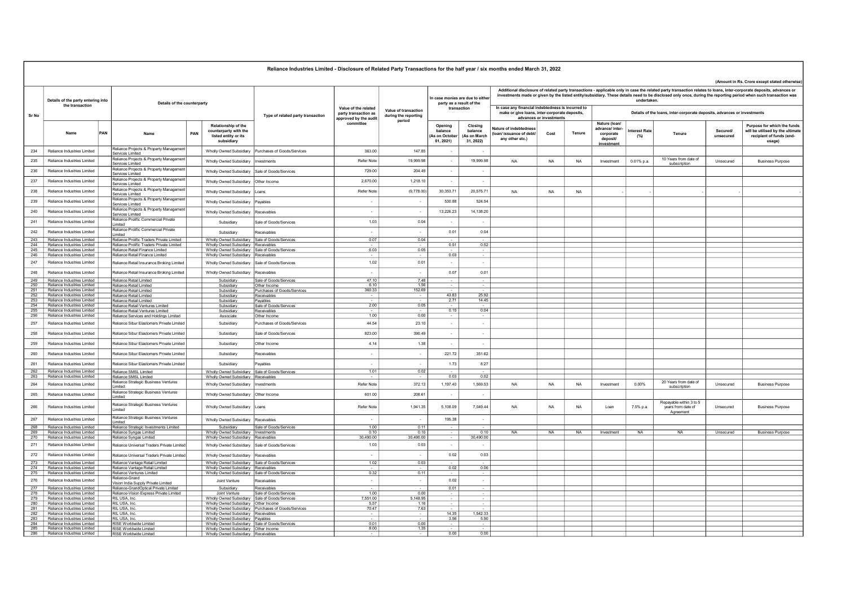|            |                                                                |     |                                                                              |     |                                                                                            | Reliance Industries Limited - Disclosure of Related Party Transactions for the half year / six months ended March 31, 2022 |                                                                       |                                              |                                                              |                                                |                                                                                                                                                                                                                                                                                                                                                                                                      |           |           |                                                                         |                    |                                                            |                      |                                                                                                       |  |  |  |  |
|------------|----------------------------------------------------------------|-----|------------------------------------------------------------------------------|-----|--------------------------------------------------------------------------------------------|----------------------------------------------------------------------------------------------------------------------------|-----------------------------------------------------------------------|----------------------------------------------|--------------------------------------------------------------|------------------------------------------------|------------------------------------------------------------------------------------------------------------------------------------------------------------------------------------------------------------------------------------------------------------------------------------------------------------------------------------------------------------------------------------------------------|-----------|-----------|-------------------------------------------------------------------------|--------------------|------------------------------------------------------------|----------------------|-------------------------------------------------------------------------------------------------------|--|--|--|--|
|            | Details of the party entering into                             |     |                                                                              |     |                                                                                            |                                                                                                                            |                                                                       |                                              | In case monies are due to either<br>party as a result of the |                                                | (Amount in Rs. Crore except stated otherwis-<br>Additional disclosure of related party transactions - applicable only in case the related party transaction relates to loans, inter-corporate deposits, advances or<br>investments made or given by the listed entity/subsidiary. These details need to be disclosed only once, during the reporting period when such transaction was<br>undertaken. |           |           |                                                                         |                    |                                                            |                      |                                                                                                       |  |  |  |  |
| Sr No      | the transaction                                                |     | Details of the counterparty                                                  |     |                                                                                            | Type of related party transaction                                                                                          | Value of the related<br>party transaction as<br>approved by the audit | Value of transaction<br>during the reporting | transaction                                                  |                                                | In case any financial indebtedness is incurred to<br>make or give loans, inter-corporate deposits,<br>advances or investments                                                                                                                                                                                                                                                                        |           |           | Details of the loans, inter-corporate deposits, advances or investments |                    |                                                            |                      |                                                                                                       |  |  |  |  |
|            | Name                                                           | PAN | Name                                                                         | PAN | Relationship of the<br>counterparty with the<br>listed entity or its<br>subsidiary         |                                                                                                                            | committe                                                              | period                                       | Opening<br>balance<br>As on Octob<br>01, 2021)               | Closing<br>balance<br>As on March<br>31, 2022) | ature of indebtednes<br>an/ issuance of debt/<br>any other etc.)                                                                                                                                                                                                                                                                                                                                     | Cost      | Tenure    | Nature (loan/<br>advance/ inter<br>corporate<br>deposit/<br>investment  | terest Rate<br>(%) | Tenure                                                     | Secured<br>unsecured | Purpose for which the funds<br>will be utilised by the ultimate<br>recipient of funds (end-<br>usage) |  |  |  |  |
| 234        | Reliance Industries Limited                                    |     | Reliance Projects & Property Managemen<br>Services Limited                   |     | Wholly Owned Subsidiary                                                                    | Purchases of Goods/Services                                                                                                | 363.00                                                                | 147.85                                       |                                                              |                                                |                                                                                                                                                                                                                                                                                                                                                                                                      |           |           |                                                                         |                    |                                                            |                      |                                                                                                       |  |  |  |  |
| 235        | Reliance Industries Limited                                    |     | Reliance Projects & Property Management<br>Services Limited                  |     | Wholly Owned Subsidiary                                                                    | nvestments                                                                                                                 | Refer Note                                                            | 19,999.98                                    | $\sim$                                                       | 19,999.98                                      | <b>NA</b>                                                                                                                                                                                                                                                                                                                                                                                            | <b>NA</b> | <b>NA</b> | Investment                                                              | 0.01% p.a.         | 10 Years from date of<br>subscription                      | Unsecured            | <b>Business Purpose</b>                                                                               |  |  |  |  |
| 236        | Reliance Industries Limited                                    |     | Reliance Projects & Property Management                                      |     | <b>Wholly Owned Subsidiary</b>                                                             | Sale of Goods/Services                                                                                                     | 729.00                                                                | 204.49                                       | $\sim$                                                       | $\sim$                                         |                                                                                                                                                                                                                                                                                                                                                                                                      |           |           |                                                                         |                    |                                                            |                      |                                                                                                       |  |  |  |  |
| 237        | Reliance Industries Limited                                    |     | Services Limited<br>Reliance Projects & Property Managemen                   |     | <b>Wholly Owned Subsidiary</b>                                                             | Other Income                                                                                                               | 2,670.00                                                              | 1,218.10                                     | $\sim$                                                       | $\sim$                                         |                                                                                                                                                                                                                                                                                                                                                                                                      |           |           |                                                                         |                    |                                                            |                      |                                                                                                       |  |  |  |  |
| 238        | Reliance Industries Limited                                    |     | Services Limited<br>Reliance Projects & Property Management                  |     | Wholly Owned Subsidiary                                                                    | I gans                                                                                                                     | Refer Note                                                            | (9,778.00)                                   | 30 353 71                                                    | 20 575 71                                      | <b>NA</b>                                                                                                                                                                                                                                                                                                                                                                                            | <b>NA</b> | <b>NA</b> |                                                                         |                    |                                                            |                      |                                                                                                       |  |  |  |  |
|            |                                                                |     | Services Limited<br>Reliance Projects & Property Management                  |     |                                                                                            |                                                                                                                            |                                                                       |                                              |                                                              |                                                |                                                                                                                                                                                                                                                                                                                                                                                                      |           |           |                                                                         |                    |                                                            |                      |                                                                                                       |  |  |  |  |
| 239        | Reliance Industries Limited                                    |     | Services Limited<br>Reliance Projects & Property Management                  |     | Wholly Owned Subsidiary                                                                    | Payables                                                                                                                   | $\sim$                                                                | $\overline{\phantom{a}}$                     | 530.88                                                       | 524.54                                         |                                                                                                                                                                                                                                                                                                                                                                                                      |           |           |                                                                         |                    |                                                            |                      |                                                                                                       |  |  |  |  |
| 240        | Reliance Industries Limited                                    |     | Services Limited                                                             |     | Wholly Owned Subsidiary                                                                    | Receivables                                                                                                                | $\sim$                                                                | $\sim$                                       | 13,226.23                                                    | 14,138.20                                      |                                                                                                                                                                                                                                                                                                                                                                                                      |           |           |                                                                         |                    |                                                            |                      |                                                                                                       |  |  |  |  |
| 241        | Reliance Industries Limited                                    |     | Reliance Prolific Commercial Private<br>Limited                              |     | Subsidiary                                                                                 | Sale of Goods/Services                                                                                                     | 1.03                                                                  | 0.04                                         | $\sim$                                                       | $\sim$                                         |                                                                                                                                                                                                                                                                                                                                                                                                      |           |           |                                                                         |                    |                                                            |                      |                                                                                                       |  |  |  |  |
| 242        | Reliance Industries Limited                                    |     | Reliance Prolific Commercial Private<br>imited                               |     | Subsidiary                                                                                 | Receivables                                                                                                                | $\overline{\phantom{a}}$                                              | $\sim$                                       | 0.01                                                         | 0.04                                           |                                                                                                                                                                                                                                                                                                                                                                                                      |           |           |                                                                         |                    |                                                            |                      |                                                                                                       |  |  |  |  |
| 243        | Reliance Industries Limited                                    |     | Reliance Prolific Traders Private Limited                                    |     | Wholly Owned Subsidiary Sale of Goods/Services                                             |                                                                                                                            | 0.07                                                                  | 0.04                                         |                                                              |                                                |                                                                                                                                                                                                                                                                                                                                                                                                      |           |           |                                                                         |                    |                                                            |                      |                                                                                                       |  |  |  |  |
| 244<br>245 | Reliance Industries Limited<br>Reliance Industries Limited     |     | Reliance Prolific Traders Private Limited<br>Reliance Retail Finance Limited |     | Wholly Owned Subsidiary Receivables<br>Wholly Owned Subsidiary Sale of Goods/Services      |                                                                                                                            | 6.03                                                                  | 0.05                                         | 0.51                                                         | 0.52<br>$\sim$                                 |                                                                                                                                                                                                                                                                                                                                                                                                      |           |           |                                                                         |                    |                                                            |                      |                                                                                                       |  |  |  |  |
| 246        | Reliance Industries Limited                                    |     | Reliance Retail Finance Limited                                              |     | Wholly Owned Subsidiary Receivables                                                        |                                                                                                                            |                                                                       |                                              | 0.03                                                         |                                                |                                                                                                                                                                                                                                                                                                                                                                                                      |           |           |                                                                         |                    |                                                            |                      |                                                                                                       |  |  |  |  |
| 247        | Reliance Industries Limited                                    |     | Reliance Retail Insurance Broking Limited                                    |     | Wholly Owned Subsidiary                                                                    | Sale of Goods/Services                                                                                                     | 1.02                                                                  | 0.01                                         | $\sim$                                                       | $\sim$                                         |                                                                                                                                                                                                                                                                                                                                                                                                      |           |           |                                                                         |                    |                                                            |                      |                                                                                                       |  |  |  |  |
| 248        | Reliance Industries Limited                                    |     | Reliance Retail Insurance Broking Limited                                    |     | <b>Wholly Owned Subsidiary</b>                                                             | Receivables                                                                                                                | $\sim$                                                                | $\sim$                                       | 0.07                                                         | 0.01                                           |                                                                                                                                                                                                                                                                                                                                                                                                      |           |           |                                                                         |                    |                                                            |                      |                                                                                                       |  |  |  |  |
| 249        | Reliance Industries Limited                                    |     | Reliance Retail Limited                                                      |     | Subsidiary                                                                                 | Sale of Goods/Services                                                                                                     | 47 10                                                                 | 748                                          |                                                              |                                                |                                                                                                                                                                                                                                                                                                                                                                                                      |           |           |                                                                         |                    |                                                            |                      |                                                                                                       |  |  |  |  |
| 250<br>251 | Reliance Industries Limited<br>Reliance Industries Limited     |     | Reliance Retail Limited                                                      |     | Subsidiary                                                                                 | Other Income                                                                                                               | 6.10                                                                  | 1.56                                         |                                                              |                                                |                                                                                                                                                                                                                                                                                                                                                                                                      |           |           |                                                                         |                    |                                                            |                      |                                                                                                       |  |  |  |  |
| 252        | Reliance Industries Limited                                    |     | Reliance Retail Limited<br>Reliance Retail Limited                           |     | Subsidiary<br>Subsidiary                                                                   | Purchases of Goods/Services<br>Receivables                                                                                 | 360.33                                                                | 152.69                                       | 43.83                                                        | 25.92                                          |                                                                                                                                                                                                                                                                                                                                                                                                      |           |           |                                                                         |                    |                                                            |                      |                                                                                                       |  |  |  |  |
| 253        | Reliance Industries Limited                                    |     | Reliance Retail Limited                                                      |     | Subsidiary                                                                                 | Payables                                                                                                                   |                                                                       |                                              | 2.71                                                         | 1445                                           |                                                                                                                                                                                                                                                                                                                                                                                                      |           |           |                                                                         |                    |                                                            |                      |                                                                                                       |  |  |  |  |
| 254        | Reliance Industries Limited                                    |     | Reliance Retail Ventures Limited                                             |     | Subsidiary                                                                                 | Sale of Goods/Services                                                                                                     | 2.00                                                                  | 0.05                                         |                                                              |                                                |                                                                                                                                                                                                                                                                                                                                                                                                      |           |           |                                                                         |                    |                                                            |                      |                                                                                                       |  |  |  |  |
| 255<br>256 | Reliance Industries Limited<br>Reliance Industries Limited     |     | Reliance Retail Ventures Limited<br>Reliance Services and Holdings Limited   |     | Subsidiary<br>Associate                                                                    | Receivables<br>Other Income                                                                                                | 1.00                                                                  | 0.00                                         | 0.15                                                         | 0.04<br>$\sim$                                 |                                                                                                                                                                                                                                                                                                                                                                                                      |           |           |                                                                         |                    |                                                            |                      |                                                                                                       |  |  |  |  |
| 257        | Reliance Industries Limited                                    |     | Reliance Sibur Elastomers Private Limited                                    |     | Subsidiary                                                                                 | Purchases of Goods/Services                                                                                                | 44.54                                                                 | 23.10                                        | $\sim$                                                       | $\sim$                                         |                                                                                                                                                                                                                                                                                                                                                                                                      |           |           |                                                                         |                    |                                                            |                      |                                                                                                       |  |  |  |  |
| 258        | Reliance Industries Limited                                    |     | Reliance Sibur Elastomers Private Limited                                    |     | Subsidiary                                                                                 | Sale of Goods/Services                                                                                                     | 823.00                                                                | 390.49                                       | $\sim$                                                       | $\sim$                                         |                                                                                                                                                                                                                                                                                                                                                                                                      |           |           |                                                                         |                    |                                                            |                      |                                                                                                       |  |  |  |  |
| 259        | Reliance Industries Limited                                    |     | Reliance Sibur Elastomers Private Limited                                    |     | Subsidiary                                                                                 | Other Income                                                                                                               | 4 14                                                                  | 1.38                                         | $\sim$                                                       | $\sim$                                         |                                                                                                                                                                                                                                                                                                                                                                                                      |           |           |                                                                         |                    |                                                            |                      |                                                                                                       |  |  |  |  |
| 260        | Reliance Industries Limited                                    |     | Reliance Sibur Elastomers Private Limited                                    |     | Subsidiary                                                                                 | Receivables                                                                                                                | $\sim$                                                                | $\sim$                                       | 221.72                                                       | 351.62                                         |                                                                                                                                                                                                                                                                                                                                                                                                      |           |           |                                                                         |                    |                                                            |                      |                                                                                                       |  |  |  |  |
| 261        | Reliance Industries Limited                                    |     | Reliance Sibur Elastomers Private Limited                                    |     | Subsidiary                                                                                 | Pavables                                                                                                                   | $\sim$                                                                | $\sim$                                       | 1.73                                                         | 8.27                                           |                                                                                                                                                                                                                                                                                                                                                                                                      |           |           |                                                                         |                    |                                                            |                      |                                                                                                       |  |  |  |  |
| 262        | Reliance Industries Limited                                    |     | Reliance SMSL Limited                                                        |     | Wholly Owned Subsidiary Sale of Goods/Services                                             |                                                                                                                            | 1.01                                                                  | 0.02                                         |                                                              |                                                |                                                                                                                                                                                                                                                                                                                                                                                                      |           |           |                                                                         |                    |                                                            |                      |                                                                                                       |  |  |  |  |
| 263        | Reliance Industries Limited                                    |     | Reliance SMSL Limited                                                        |     | Wholly Owned Subsidiary Receivables                                                        |                                                                                                                            |                                                                       |                                              | 0.03                                                         | 0.02                                           |                                                                                                                                                                                                                                                                                                                                                                                                      |           |           |                                                                         |                    |                                                            |                      |                                                                                                       |  |  |  |  |
| 264        | Reliance Industries Limited                                    |     | Reliance Strategic Business Ventures<br>.imited                              |     | Wholly Owned Subsidiary                                                                    | Investments                                                                                                                | Refer Note                                                            | 372.13                                       | 1,197.40                                                     | 1,569.53                                       | <b>NA</b>                                                                                                                                                                                                                                                                                                                                                                                            | <b>NA</b> | <b>NA</b> | Investment                                                              | 0.00%              | 20 Years from date of<br>subscription                      | Unsecured            | <b>Business Purpose</b>                                                                               |  |  |  |  |
| 265        | Reliance Industries Limited                                    |     | Reliance Strategic Business Ventures<br><i>imited</i>                        |     | Wholly Owned Subsidiary                                                                    | Other Income                                                                                                               | 601.00                                                                | 208.61                                       | $\sim$                                                       | $\sim$                                         |                                                                                                                                                                                                                                                                                                                                                                                                      |           |           |                                                                         |                    |                                                            |                      |                                                                                                       |  |  |  |  |
| 266        | Reliance Industries Limited                                    |     | Reliance Strategic Business Ventures<br>I imited                             |     | Wholly Owned Subsidiary                                                                    | Loans                                                                                                                      | Refer Note                                                            | 1 941 35                                     | 5 108 09                                                     | 7 049 44                                       | <b>NA</b>                                                                                                                                                                                                                                                                                                                                                                                            | <b>NA</b> | <b>NA</b> | Loan                                                                    | 7.5% p.a.          | Repayable within 3 to 5<br>years from date of<br>Agreement | Unsecured            | <b>Business Purpose</b>                                                                               |  |  |  |  |
| 267        | Reliance Industries Limited                                    |     | Reliance Strategic Business Ventures<br>.imited                              |     | Wholly Owned Subsidiary                                                                    | Receivables                                                                                                                | $\sim$                                                                | $\sim$                                       | 195.38                                                       | $\sim$                                         |                                                                                                                                                                                                                                                                                                                                                                                                      |           |           |                                                                         |                    |                                                            |                      |                                                                                                       |  |  |  |  |
| 268        | Reliance Industries Limited                                    |     | Reliance Strategic Investments Limited                                       |     | Subsidiary                                                                                 | Sale of Goods/Services                                                                                                     | 1.00                                                                  | 0.11                                         |                                                              |                                                |                                                                                                                                                                                                                                                                                                                                                                                                      |           |           |                                                                         |                    |                                                            |                      |                                                                                                       |  |  |  |  |
| 269<br>270 | Reliance Industries Limited<br>Reliance Industries Limited     |     | Reliance Syngas Limited<br>Reliance Syngas Limited                           |     | Wholly Owned Subsidiary Investments<br>Wholly Owned Subsidiary Receivables                 |                                                                                                                            | 0.10<br>30.490.00                                                     | 0,10<br>30,490.00                            |                                                              | 0,10<br>30,490.00                              | <b>NA</b>                                                                                                                                                                                                                                                                                                                                                                                            | <b>NA</b> | <b>NA</b> | Investment                                                              | <b>NA</b>          | <b>NA</b>                                                  | Unsecured            | <b>Business Purpose</b>                                                                               |  |  |  |  |
| 271        | Reliance Industries Limited                                    |     | Reliance Universal Traders Private Limiter                                   |     | Wholly Owned Subsidiary                                                                    | Sale of Goods/Services                                                                                                     | 1.03                                                                  | 0.03                                         | $\sim$                                                       | $\sim$                                         |                                                                                                                                                                                                                                                                                                                                                                                                      |           |           |                                                                         |                    |                                                            |                      |                                                                                                       |  |  |  |  |
| 272        | Reliance Industries Limited                                    |     | Reliance Universal Traders Private Limited                                   |     | Wholly Owned Subsidiary                                                                    | Receivables                                                                                                                | $\overline{\phantom{a}}$                                              |                                              | 0.02                                                         | 0.03                                           |                                                                                                                                                                                                                                                                                                                                                                                                      |           |           |                                                                         |                    |                                                            |                      |                                                                                                       |  |  |  |  |
| 273        | Reliance Industries Limited                                    |     | Reliance Vantage Retail Limited                                              |     | Wholly Owned Subsidiary Sale of Goods/Services                                             |                                                                                                                            | 1.02                                                                  | 0.03                                         |                                                              |                                                |                                                                                                                                                                                                                                                                                                                                                                                                      |           |           |                                                                         |                    |                                                            |                      |                                                                                                       |  |  |  |  |
| 274        | Reliance Industries Limited                                    |     | Reliance Vantage Retail Limited                                              |     | Wholly Owned Subsidiary Receivables                                                        |                                                                                                                            |                                                                       |                                              | 0.02                                                         | 0.06                                           |                                                                                                                                                                                                                                                                                                                                                                                                      |           |           |                                                                         |                    |                                                            |                      |                                                                                                       |  |  |  |  |
| 275        | Reliance Industries Limited                                    |     | Reliance Ventures Limited                                                    |     | Wholly Owned Subsidiary Sale of Goods/Services                                             |                                                                                                                            | 0.32                                                                  | 0.11                                         |                                                              | $\sim$                                         |                                                                                                                                                                                                                                                                                                                                                                                                      |           |           |                                                                         |                    |                                                            |                      |                                                                                                       |  |  |  |  |
| 276        | Reliance Industries Limited                                    |     | Reliance-Grand<br>/ision India Supply Private Limited                        |     | Joint Venture                                                                              | Receivables                                                                                                                | $\sim$                                                                | $\sim$                                       | 0.02                                                         | $\sim$                                         |                                                                                                                                                                                                                                                                                                                                                                                                      |           |           |                                                                         |                    |                                                            |                      |                                                                                                       |  |  |  |  |
| 277        | Reliance Industries Limited                                    |     | Reliance-GrandOptical Private Limited                                        |     | Subsidiary                                                                                 | Receivables                                                                                                                |                                                                       |                                              | 0.01                                                         |                                                |                                                                                                                                                                                                                                                                                                                                                                                                      |           |           |                                                                         |                    |                                                            |                      |                                                                                                       |  |  |  |  |
| 278<br>279 | Reliance Industries Limited<br>Reliance Industries Limited     |     | Reliance-Vision Express Private Limited<br>RIL USA, Inc.                     |     | Joint Venture                                                                              | Sale of Goods/Services                                                                                                     | 1.00<br>7,551.00                                                      | 0.00<br>5.148.95                             |                                                              |                                                |                                                                                                                                                                                                                                                                                                                                                                                                      |           |           |                                                                         |                    |                                                            |                      |                                                                                                       |  |  |  |  |
| 280        | Reliance Industries Limited                                    |     | RII USA Inc.                                                                 |     | Wholly Owned Subsidiary   Sale of Goods/Services<br>Wholly Owned Subsidiary   Other Income |                                                                                                                            | 5.57                                                                  | 1 1 6                                        |                                                              | $\sim$                                         |                                                                                                                                                                                                                                                                                                                                                                                                      |           |           |                                                                         |                    |                                                            |                      |                                                                                                       |  |  |  |  |
|            | 281 Reliance Industries Limited                                |     | RIL USA, Inc.                                                                |     |                                                                                            | Wholly Owned Subsidiary Purchases of Goods/Services                                                                        | 70.47                                                                 | 763                                          |                                                              | $\sim$                                         |                                                                                                                                                                                                                                                                                                                                                                                                      |           |           |                                                                         |                    |                                                            |                      |                                                                                                       |  |  |  |  |
| 282        | Reliance Industries Limited                                    |     | RIL USA, Inc.                                                                |     | Wholly Owned Subsidiary Receivables                                                        |                                                                                                                            |                                                                       |                                              | 14.35                                                        | 1,542.33                                       |                                                                                                                                                                                                                                                                                                                                                                                                      |           |           |                                                                         |                    |                                                            |                      |                                                                                                       |  |  |  |  |
| 284        | 283 Reliance Industries Limited<br>Reliance Industries Limited |     | RIL USA, Inc.<br><b>RISE Worldwide Limited</b>                               |     | Wholly Owned Subsidiary Payables<br>Wholly Owned Subsidiary Sale of Goods/Services         |                                                                                                                            | 0.01                                                                  | 0.00                                         | 3.56                                                         | 5.90                                           |                                                                                                                                                                                                                                                                                                                                                                                                      |           |           |                                                                         |                    |                                                            |                      |                                                                                                       |  |  |  |  |
| 285        | Reliance Industries Limited                                    |     | RISE Worldwide Limited                                                       |     | Wholly Owned Subsidiary Other Income                                                       |                                                                                                                            | 8.00                                                                  | 1.35                                         |                                                              |                                                |                                                                                                                                                                                                                                                                                                                                                                                                      |           |           |                                                                         |                    |                                                            |                      |                                                                                                       |  |  |  |  |
| 286        | Reliance Industries Limited                                    |     | RISE Worldwide Limited                                                       |     | Wholly Owned Subsidiary Receivables                                                        |                                                                                                                            |                                                                       |                                              | 0.00                                                         | 0.00                                           |                                                                                                                                                                                                                                                                                                                                                                                                      |           |           |                                                                         |                    |                                                            |                      |                                                                                                       |  |  |  |  |